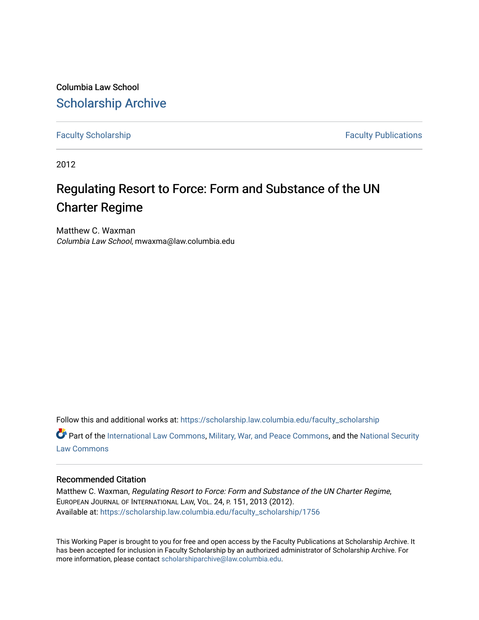Columbia Law School [Scholarship Archive](https://scholarship.law.columbia.edu/) 

[Faculty Scholarship](https://scholarship.law.columbia.edu/faculty_scholarship) **Faculty Scholarship** Faculty Publications

2012

# Regulating Resort to Force: Form and Substance of the UN Charter Regime

Matthew C. Waxman Columbia Law School, mwaxma@law.columbia.edu

Follow this and additional works at: [https://scholarship.law.columbia.edu/faculty\\_scholarship](https://scholarship.law.columbia.edu/faculty_scholarship?utm_source=scholarship.law.columbia.edu%2Ffaculty_scholarship%2F1756&utm_medium=PDF&utm_campaign=PDFCoverPages)

Part of the [International Law Commons,](http://network.bepress.com/hgg/discipline/609?utm_source=scholarship.law.columbia.edu%2Ffaculty_scholarship%2F1756&utm_medium=PDF&utm_campaign=PDFCoverPages) [Military, War, and Peace Commons](http://network.bepress.com/hgg/discipline/861?utm_source=scholarship.law.columbia.edu%2Ffaculty_scholarship%2F1756&utm_medium=PDF&utm_campaign=PDFCoverPages), and the [National Security](http://network.bepress.com/hgg/discipline/1114?utm_source=scholarship.law.columbia.edu%2Ffaculty_scholarship%2F1756&utm_medium=PDF&utm_campaign=PDFCoverPages)  [Law Commons](http://network.bepress.com/hgg/discipline/1114?utm_source=scholarship.law.columbia.edu%2Ffaculty_scholarship%2F1756&utm_medium=PDF&utm_campaign=PDFCoverPages) 

### Recommended Citation

Matthew C. Waxman, Regulating Resort to Force: Form and Substance of the UN Charter Regime, EUROPEAN JOURNAL OF INTERNATIONAL LAW, VOL. 24, P. 151, 2013 (2012). Available at: [https://scholarship.law.columbia.edu/faculty\\_scholarship/1756](https://scholarship.law.columbia.edu/faculty_scholarship/1756?utm_source=scholarship.law.columbia.edu%2Ffaculty_scholarship%2F1756&utm_medium=PDF&utm_campaign=PDFCoverPages)

This Working Paper is brought to you for free and open access by the Faculty Publications at Scholarship Archive. It has been accepted for inclusion in Faculty Scholarship by an authorized administrator of Scholarship Archive. For more information, please contact [scholarshiparchive@law.columbia.edu.](mailto:scholarshiparchive@law.columbia.edu)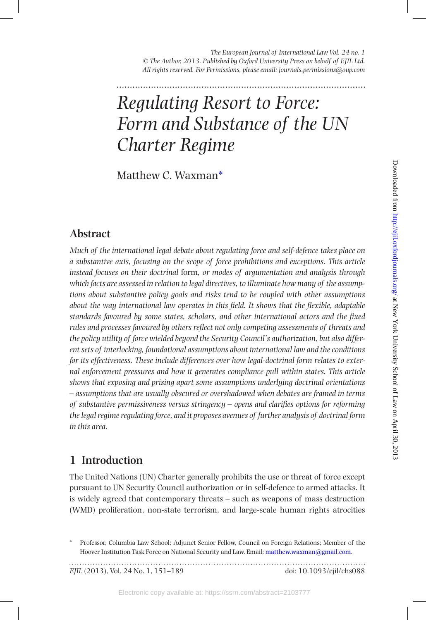# *Regulating Resort to Force: Form and Substance of the UN Charter Regime*

Matthew C. Waxma[n\\*](#page-1-0)

# **Abstract**

*Much of the international legal debate about regulating force and self-defence takes place on a substantive axis, focusing on the scope of force prohibitions and exceptions. This article instead focuses on their doctrinal* form*, or modes of argumentation and analysis through which facts are assessed in relation to legal directives, to illuminate how many of the assumptions about substantive policy goals and risks tend to be coupled with other assumptions about the way international law operates in this field. It shows that the flexible, adaptable standards favoured by some states, scholars, and other international actors and the fixed rules and processes favoured by others reflect not only competing assessments of threats and the policy utility of force wielded beyond the Security Council's authorization, but also different sets of interlocking, foundational assumptions about international law and the conditions for its effectiveness. These include differences over how legal-doctrinal form relates to external enforcement pressures and how it generates compliance pull within states. This article shows that exposing and prising apart some assumptions underlying doctrinal orientations – assumptions that are usually obscured or overshadowed when debates are framed in terms of substantive permissiveness versus stringency – opens and clarifies options for reforming the legal regime regulating force, and it proposes avenues of further analysis of doctrinal form in this area.*

# **1 Introduction**

The United Nations (UN) Charter generally prohibits the use or threat of force except pursuant to UN Security Council authorization or in self-defence to armed attacks. It is widely agreed that contemporary threats – such as weapons of mass destruction (WMD) proliferation, non-state terrorism, and large-scale human rights atrocities

*EJIL* (2013), Vol. 24 No. 1, 151–189 doi: 10.1093/ejil/chs088

<span id="page-1-0"></span><sup>\*</sup> Professor, Columbia Law School; Adjunct Senior Fellow, Council on Foreign Relations; Member of the Hoover Institution Task Force on National Security and Law. Email: [matthew.waxman@gmail.com.](mailto:matthew.waxman@gmail.com)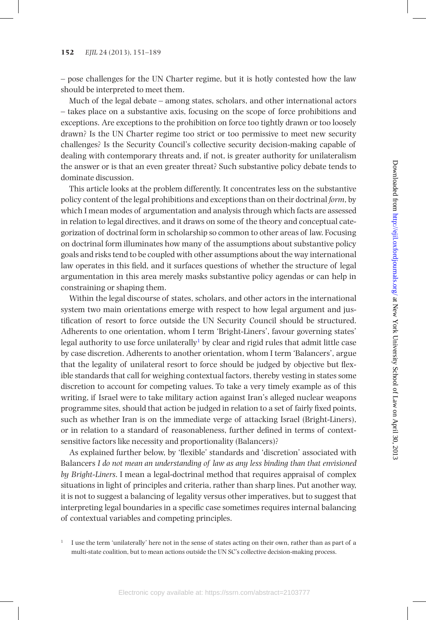– pose challenges for the UN Charter regime, but it is hotly contested how the law should be interpreted to meet them.

Much of the legal debate – among states, scholars, and other international actors – takes place on a substantive axis, focusing on the scope of force prohibitions and exceptions. Are exceptions to the prohibition on force too tightly drawn or too loosely drawn? Is the UN Charter regime too strict or too permissive to meet new security challenges? Is the Security Council's collective security decision-making capable of dealing with contemporary threats and, if not, is greater authority for unilateralism the answer or is that an even greater threat? Such substantive policy debate tends to dominate discussion.

This article looks at the problem differently. It concentrates less on the substantive policy content of the legal prohibitions and exceptions than on their doctrinal *form*, by which I mean modes of argumentation and analysis through which facts are assessed in relation to legal directives, and it draws on some of the theory and conceptual categorization of doctrinal form in scholarship so common to other areas of law. Focusing on doctrinal form illuminates how many of the assumptions about substantive policy goals and risks tend to be coupled with other assumptions about the way international law operates in this field, and it surfaces questions of whether the structure of legal argumentation in this area merely masks substantive policy agendas or can help in constraining or shaping them.

Within the legal discourse of states, scholars, and other actors in the international system two main orientations emerge with respect to how legal argument and justification of resort to force outside the UN Security Council should be structured. Adherents to one orientation, whom I term 'Bright-Liners', favour governing states' legal authority to use force unilaterally<sup>1</sup> by clear and rigid rules that admit little case by case discretion. Adherents to another orientation, whom I term 'Balancers', argue that the legality of unilateral resort to force should be judged by objective but flexible standards that call for weighing contextual factors, thereby vesting in states some discretion to account for competing values. To take a very timely example as of this writing, if Israel were to take military action against Iran's alleged nuclear weapons programme sites, should that action be judged in relation to a set of fairly fixed points, such as whether Iran is on the immediate verge of attacking Israel (Bright-Liners), or in relation to a standard of reasonableness, further defined in terms of contextsensitive factors like necessity and proportionality (Balancers)?

As explained further below, by 'flexible' standards and 'discretion' associated with Balancers *I do not mean an understanding of law as any less binding than that envisioned by Bright-Liners*. I mean a legal-doctrinal method that requires appraisal of complex situations in light of principles and criteria, rather than sharp lines. Put another way, it is not to suggest a balancing of legality versus other imperatives, but to suggest that interpreting legal boundaries in a specific case sometimes requires internal balancing of contextual variables and competing principles.

<span id="page-2-0"></span><sup>1</sup> I use the term 'unilaterally' here not in the sense of states acting on their own, rather than as part of a multi-state coalition, but to mean actions outside the UN SC's collective decision-making process.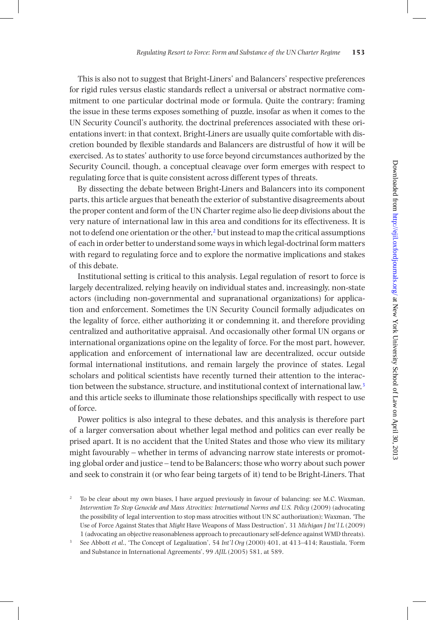This is also not to suggest that Bright-Liners' and Balancers' respective preferences for rigid rules versus elastic standards reflect a universal or abstract normative commitment to one particular doctrinal mode or formula. Quite the contrary; framing the issue in these terms exposes something of puzzle, insofar as when it comes to the UN Security Council's authority, the doctrinal preferences associated with these orientations invert: in that context, Bright-Liners are usually quite comfortable with discretion bounded by flexible standards and Balancers are distrustful of how it will be exercised. As to states' authority to use force beyond circumstances authorized by the Security Council, though, a conceptual cleavage over form emerges with respect to regulating force that is quite consistent across different types of threats.

By dissecting the debate between Bright-Liners and Balancers into its component parts, this article argues that beneath the exterior of substantive disagreements about the proper content and form of the UN Charter regime also lie deep divisions about the very nature of international law in this area and conditions for its effectiveness. It is not to defend one orientation or the other, $<sup>2</sup>$  $<sup>2</sup>$  $<sup>2</sup>$  but instead to map the critical assumptions</sup> of each in order better to understand some ways in which legal-doctrinal form matters with regard to regulating force and to explore the normative implications and stakes of this debate.

Institutional setting is critical to this analysis. Legal regulation of resort to force is largely decentralized, relying heavily on individual states and, increasingly, non-state actors (including non-governmental and supranational organizations) for application and enforcement. Sometimes the UN Security Council formally adjudicates on the legality of force, either authorizing it or condemning it, and therefore providing centralized and authoritative appraisal. And occasionally other formal UN organs or international organizations opine on the legality of force. For the most part, however, application and enforcement of international law are decentralized, occur outside formal international institutions, and remain largely the province of states. Legal scholars and political scientists have recently turned their attention to the interaction between the substance, structure, and institutional context of international law, $3$ and this article seeks to illuminate those relationships specifically with respect to use of force.

Power politics is also integral to these debates, and this analysis is therefore part of a larger conversation about whether legal method and politics can ever really be prised apart. It is no accident that the United States and those who view its military might favourably – whether in terms of advancing narrow state interests or promoting global order and justice – tend to be Balancers; those who worry about such power and seek to constrain it (or who fear being targets of it) tend to be Bright-Liners. That

<span id="page-3-0"></span><sup>2</sup> To be clear about my own biases, I have argued previously in favour of balancing: see M.C. Waxman, *Intervention To Stop Genocide and Mass Atrocities: International Norms and U.S. Policy* (2009) (advocating the possibility of legal intervention to stop mass atrocities without UN SC authorization); Waxman, 'The Use of Force Against States that *Might* Have Weapons of Mass Destruction', 31 *Michigan J Int'l L* (2009) 1 (advocating an objective reasonableness approach to precautionary self-defence against WMD threats).

<span id="page-3-1"></span><sup>3</sup> See Abbott *et al*., 'The Concept of Legalization', 54 *Int'l Org* (2000) 401, at 413–414; Raustiala, 'Form and Substance in International Agreements', 99 *AJIL* (2005) 581, at 589.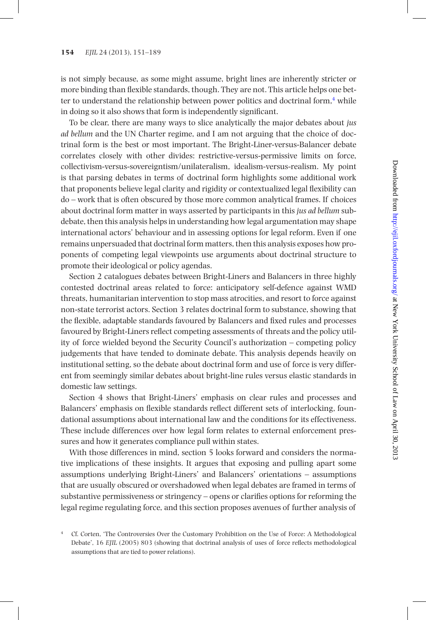is not simply because, as some might assume, bright lines are inherently stricter or more binding than flexible standards, though. They are not. This article helps one better to understand the relationship between power politics and doctrinal form,[4](#page-4-0) while in doing so it also shows that form is independently significant.

To be clear, there are many ways to slice analytically the major debates about *jus ad bellum* and the UN Charter regime, and I am not arguing that the choice of doctrinal form is the best or most important. The Bright-Liner-versus-Balancer debate correlates closely with other divides: restrictive-versus-permissive limits on force, collectivism-versus-sovereigntism/unilateralism, idealism-versus-realism. My point is that parsing debates in terms of doctrinal form highlights some additional work that proponents believe legal clarity and rigidity or contextualized legal flexibility can do – work that is often obscured by those more common analytical frames. If choices about doctrinal form matter in ways asserted by participants in this *jus ad bellum* subdebate, then this analysis helps in understanding how legal argumentation may shape international actors' behaviour and in assessing options for legal reform. Even if one remains unpersuaded that doctrinal form matters, then this analysis exposes how proponents of competing legal viewpoints use arguments about doctrinal structure to promote their ideological or policy agendas.

Section 2 catalogues debates between Bright-Liners and Balancers in three highly contested doctrinal areas related to force: anticipatory self-defence against WMD threats, humanitarian intervention to stop mass atrocities, and resort to force against non-state terrorist actors. Section 3 relates doctrinal form to substance, showing that the flexible, adaptable standards favoured by Balancers and fixed rules and processes favoured by Bright-Liners reflect competing assessments of threats and the policy utility of force wielded beyond the Security Council's authorization – competing policy judgements that have tended to dominate debate. This analysis depends heavily on institutional setting, so the debate about doctrinal form and use of force is very different from seemingly similar debates about bright-line rules versus elastic standards in domestic law settings.

Section 4 shows that Bright-Liners' emphasis on clear rules and processes and Balancers' emphasis on flexible standards reflect different sets of interlocking, foundational assumptions about international law and the conditions for its effectiveness. These include differences over how legal form relates to external enforcement pressures and how it generates compliance pull within states.

With those differences in mind, section 5 looks forward and considers the normative implications of these insights. It argues that exposing and pulling apart some assumptions underlying Bright-Liners' and Balancers' orientations – assumptions that are usually obscured or overshadowed when legal debates are framed in terms of substantive permissiveness or stringency – opens or clarifies options for reforming the legal regime regulating force, and this section proposes avenues of further analysis of

<span id="page-4-0"></span><sup>4</sup> Cf. Corten, 'The Controversies Over the Customary Prohibition on the Use of Force: A Methodological Debate', 16 *EJIL* (2005) 803 (showing that doctrinal analysis of uses of force reflects methodological assumptions that are tied to power relations).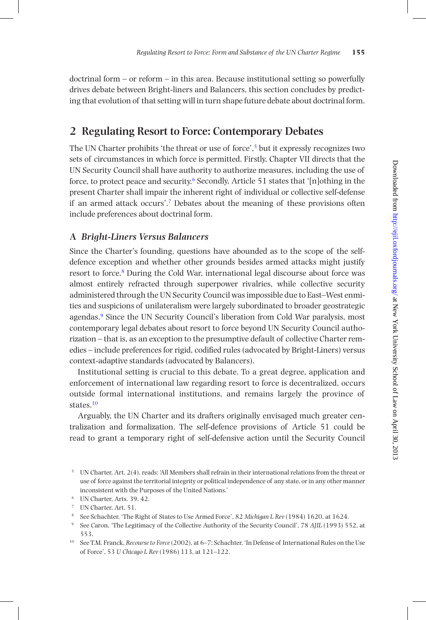doctrinal form – or reform – in this area. Because institutional setting so powerfully drives debate between Bright-liners and Balancers, this section concludes by predicting that evolution of that setting will in turn shape future debate about doctrinal form.

# **2 Regulating Resort to Force: Contemporary Debates**

The UN Charter prohibits 'the threat or use of force',<sup>[5](#page-5-0)</sup> but it expressly recognizes two sets of circumstances in which force is permitted. Firstly, Chapter VII directs that the UN Security Council shall have authority to authorize measures, including the use of force, to protect peace and security.<sup>6</sup> Secondly, Article 51 states that '[n]othing in the present Charter shall impair the inherent right of individual or collective self-defense if an armed attack occurs'[.7](#page-5-2) Debates about the meaning of these provisions often include preferences about doctrinal form.

### **A** *Bright-Liners Versus Balancers*

Since the Charter's founding, questions have abounded as to the scope of the selfdefence exception and whether other grounds besides armed attacks might justify resort to force[.8](#page-5-3) During the Cold War, international legal discourse about force was almost entirely refracted through superpower rivalries, while collective security administered through the UN Security Council was impossible due to East–West enmities and suspicions of unilateralism were largely subordinated to broader geostrategic agendas[.9](#page-5-4) Since the UN Security Council's liberation from Cold War paralysis, most contemporary legal debates about resort to force beyond UN Security Council authorization – that is, as an exception to the presumptive default of collective Charter remedies – include preferences for rigid, codified rules (advocated by Bright-Liners) versus context-adaptive standards (advocated by Balancers).

Institutional setting is crucial to this debate. To a great degree, application and enforcement of international law regarding resort to force is decentralized, occurs outside formal international institutions, and remains largely the province of states.[10](#page-5-5)

Arguably, the UN Charter and its drafters originally envisaged much greater centralization and formalization. The self-defence provisions of Article 51 could be read to grant a temporary right of self-defensive action until the Security Council

<span id="page-5-0"></span><sup>5</sup> UN Charter, Art. 2(4), reads: 'All Members shall refrain in their international relations from the threat or use of force against the territorial integrity or political independence of any state, or in any other manner inconsistent with the Purposes of the United Nations.'

<span id="page-5-1"></span><sup>6</sup> UN Charter, Arts. 39, 42.

<span id="page-5-2"></span><sup>7</sup> UN Charter, Art. 51.

<span id="page-5-3"></span><sup>8</sup> See Schachter, 'The Right of States to Use Armed Force', 82 *Michigan L Rev* (1984) 1620, at 1624.

<span id="page-5-4"></span><sup>9</sup> See Caron, 'The Legitimacy of the Collective Authority of the Security Council', 78 *AJIL* (1993) 552, at 553.

<span id="page-5-5"></span><sup>10</sup> See T.M. Franck, *Recourse to Force* (2002), at 6–7; Schachter, 'In Defense of International Rules on the Use of Force', 53 *U Chicago L Rev* (1986) 113, at 121–122.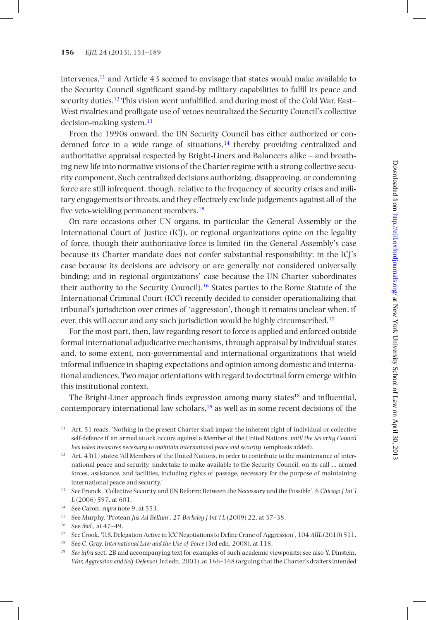intervenes, $<sup>11</sup>$  and Article 43 seemed to envisage that states would make available to</sup> the Security Council significant stand-by military capabilities to fulfil its peace and security duties.<sup>12</sup> This vision went unfulfilled, and during most of the Cold War, East-West rivalries and profligate use of vetoes neutralized the Security Council's collective decision-making system.[13](#page-6-2)

From the 1990s onward, the UN Security Council has either authorized or condemned force in a wide range of situations, $14$  thereby providing centralized and authoritative appraisal respected by Bright-Liners and Balancers alike – and breathing new life into normative visions of the Charter regime with a strong collective security component. Such centralized decisions authorizing, disapproving, or condemning force are still infrequent, though, relative to the frequency of security crises and military engagements or threats, and they effectively exclude judgements against all of the five veto-wielding permanent members.[15](#page-6-4)

On rare occasions other UN organs, in particular the General Assembly or the International Court of Justice (ICJ), or regional organizations opine on the legality of force, though their authoritative force is limited (in the General Assembly's case because its Charter mandate does not confer substantial responsibility; in the ICJ's case because its decisions are advisory or are generally not considered universally binding; and in regional organizations' case because the UN Charter subordinates their authority to the Security Council).[16](#page-6-5) States parties to the Rome Statute of the International Criminal Court (ICC) recently decided to consider operationalizing that tribunal's jurisdiction over crimes of 'aggression', though it remains unclear when, if ever, this will occur and any such jurisdiction would be highly circumscribed.<sup>[17](#page-6-6)</sup>

For the most part, then, law regarding resort to force is applied and enforced outside formal international adjudicative mechanisms, through appraisal by individual states and, to some extent, non-governmental and international organizations that wield informal influence in shaping expectations and opinion among domestic and international audiences. Two major orientations with regard to doctrinal form emerge within this institutional context.

The Bright-Liner approach finds expression among many states<sup>18</sup> and influential, contemporary international law scholars, $19$  as well as in some recent decisions of the

- <span id="page-6-0"></span><sup>11</sup> Art. 51 reads: 'Nothing in the present Charter shall impair the inherent right of individual or collective self-defence if an armed attack occurs against a Member of the United Nations, *until the Security Council has taken measures necessary to maintain international peace and security'* (emphasis added).
- <span id="page-6-1"></span><sup>12</sup> Art. 43(1) states: 'All Members of the United Nations, in order to contribute to the maintenance of international peace and security, undertake to make available to the Security Council, on its call … armed forces, assistance, and facilities, including rights of passage, necessary for the purpose of maintaining international peace and security.'
- <span id="page-6-2"></span><sup>13</sup> See Franck, 'Collective Security and UN Reform: Between the Necessary and the Possible', 6 *Chicago J Int'l L* (2006) 597, at 601.
- <span id="page-6-3"></span><sup>14</sup> See Caron, *supra* note 9, at 553.
- <span id="page-6-4"></span><sup>15</sup> See Murphy, 'Protean *Jus Ad Bellum*', 27 *Berkeley J Int'l L* (2009) 22, at 37–38.
- <span id="page-6-5"></span><sup>16</sup> See *ibid.,* at 47–49.
- <span id="page-6-6"></span><sup>17</sup> See Crook, 'U.S. Delegation Active in ICC Negotiations to Define Crime of Aggression', 104 *AJIL* (2010) 511.
- <span id="page-6-7"></span><sup>18</sup> See C. Gray, *International Law and the Use of Force* (3rd edn, 2008), at 118.
- <span id="page-6-8"></span><sup>19</sup> *See infra* sect. 2B and accompanying text for examples of such academic viewpoints; see also Y. Dinstein, *War, Aggression and Self-Defense* (3rd edn, 2001), at 166–168 (arguing that the Charter's drafters intended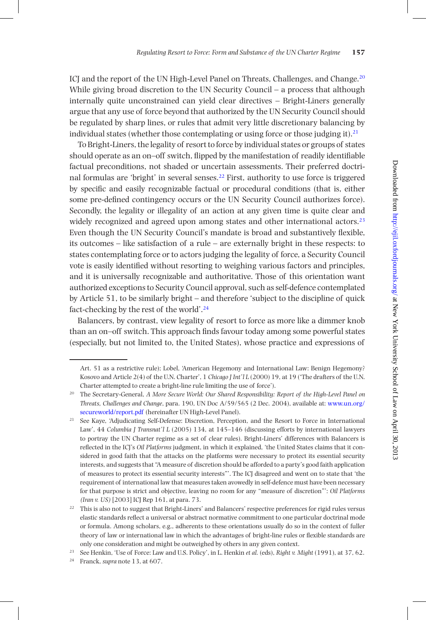ICJ and the report of the UN High-Level Panel on Threats, Challenges, and Change.<sup>20</sup> While giving broad discretion to the UN Security Council – a process that although internally quite unconstrained can yield clear directives – Bright-Liners generally argue that any use of force beyond that authorized by the UN Security Council should be regulated by sharp lines, or rules that admit very little discretionary balancing by individual states (whether those contemplating or using force or those judging it).<sup>[21](#page-7-1)</sup>

To Bright-Liners, the legality of resort to force by individual states or groups of states should operate as an on–off switch, flipped by the manifestation of readily identifiable factual preconditions, not shaded or uncertain assessments. Their preferred doctri-nal formulas are 'bright' in several senses.<sup>[22](#page-7-2)</sup> First, authority to use force is triggered by specific and easily recognizable factual or procedural conditions (that is, either some pre-defined contingency occurs or the UN Security Council authorizes force). Secondly, the legality or illegality of an action at any given time is quite clear and widely recognized and agreed upon among states and other international actors.<sup>23</sup> Even though the UN Security Council's mandate is broad and substantively flexible, its outcomes – like satisfaction of a rule – are externally bright in these respects: to states contemplating force or to actors judging the legality of force, a Security Council vote is easily identified without resorting to weighing various factors and principles, and it is universally recognizable and authoritative. Those of this orientation want authorized exceptions to Security Council approval, such as self-defence contemplated by Article 51, to be similarly bright – and therefore 'subject to the discipline of quick fact-checking by the rest of the world'.[24](#page-7-4)

Balancers, by contrast, view legality of resort to force as more like a dimmer knob than an on–off switch. This approach finds favour today among some powerful states (especially, but not limited to, the United States), whose practice and expressions of

Art. 51 as a restrictive rule); Lobel, 'American Hegemony and International Law: Benign Hegemony? Kosovo and Article 2(4) of the U.N. Charter', 1 *Chicago J Int'l L* (2000) 19, at 19 ('The drafters of the U.N. Charter attempted to create a bright-line rule limiting the use of force').

<span id="page-7-0"></span><sup>20</sup> The Secretary-General, *A More Secure World: Our Shared Responsibility: Report of the High-Level Panel on Threats, Challenges and Change*, para. 190, UN Doc A/59/565 (2 Dec. 2004), available at: [www.un.org/](http://www.un.org/secureworld/report.pdf) [secureworld/report.pdf](http://www.un.org/secureworld/report.pdf) (hereinafter UN High-Level Panel).

<span id="page-7-1"></span><sup>&</sup>lt;sup>21</sup> See Kaye, 'Adjudicating Self-Defense: Discretion, Perception, and the Resort to Force in International Law', 44 *Columbia J Transnat'l L* (2005) 134, at 145–146 (discussing efforts by international lawyers to portray the UN Charter regime as a set of clear rules). Bright-Liners' differences with Balancers is reflected in the ICJ's *Oil Platforms* judgment, in which it explained, 'the United States claims that it considered in good faith that the attacks on the platforms were necessary to protect its essential security interests, and suggests that "A measure of discretion should be afforded to a party's good faith application of measures to protect its essential security interests"'. The ICJ disagreed and went on to state that 'the requirement of international law that measures taken avowedly in self-defence must have been necessary for that purpose is strict and objective, leaving no room for any "measure of discretion"': *Oil Platforms (Iran v. US)* [2003] ICJ Rep 161, at para. 73.

<span id="page-7-2"></span><sup>&</sup>lt;sup>22</sup> This is also not to suggest that Bright-Liners' and Balancers' respective preferences for rigid rules versus elastic standards reflect a universal or abstract normative commitment to one particular doctrinal mode or formula. Among scholars, e.g., adherents to these orientations usually do so in the context of fuller theory of law or international law in which the advantages of bright-line rules or flexible standards are only one consideration and might be outweighed by others in any given context.

<span id="page-7-3"></span><sup>23</sup> See Henkin, 'Use of Force: Law and U.S. Policy', in L. Henkin *et al.* (eds), *Right v. Might* (1991), at 37, 62.

<span id="page-7-4"></span><sup>24</sup> Franck, *supra* note 13, at 607.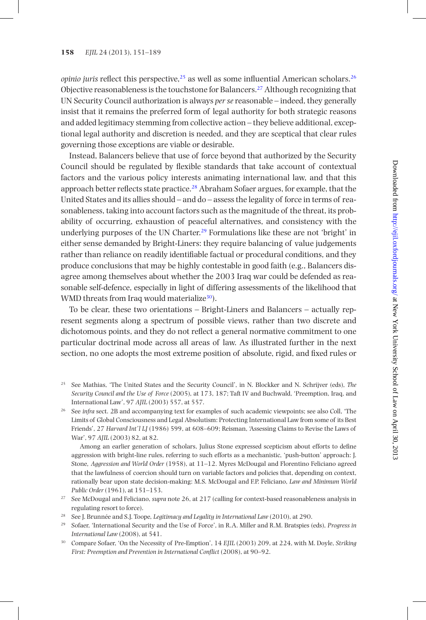*opinio juris* reflect this perspective,<sup>25</sup> as well as some influential American scholars.<sup>[26](#page-8-1)</sup> Objective reasonableness is the touchstone for Balancers.<sup>27</sup> Although recognizing that UN Security Council authorization is always *per se* reasonable – indeed, they generally insist that it remains the preferred form of legal authority for both strategic reasons and added legitimacy stemming from collective action – they believe additional, exceptional legal authority and discretion is needed, and they are sceptical that clear rules governing those exceptions are viable or desirable.

Instead, Balancers believe that use of force beyond that authorized by the Security Council should be regulated by flexible standards that take account of contextual factors and the various policy interests animating international law, and that this approach better reflects state practice.[28](#page-8-3) Abraham Sofaer argues, for example, that the United States and its allies should – and do – assess the legality of force in terms of reasonableness, taking into account factors such as the magnitude of the threat, its probability of occurring, exhaustion of peaceful alternatives, and consistency with the underlying purposes of the UN Charter[.29](#page-8-4) Formulations like these are not 'bright' in either sense demanded by Bright-Liners: they require balancing of value judgements rather than reliance on readily identifiable factual or procedural conditions, and they produce conclusions that may be highly contestable in good faith (e.g., Balancers disagree among themselves about whether the 2003 Iraq war could be defended as reasonable self-defence, especially in light of differing assessments of the likelihood that WMD threats from Iraq would materialize<sup>30</sup>).

To be clear, these two orientations – Bright-Liners and Balancers – actually represent segments along a spectrum of possible views, rather than two discrete and dichotomous points, and they do not reflect a general normative commitment to one particular doctrinal mode across all areas of law. As illustrated further in the next section, no one adopts the most extreme position of absolute, rigid, and fixed rules or

- <span id="page-8-0"></span><sup>25</sup> See Mathias, 'The United States and the Security Council', in N. Blockker and N. Schrijver (eds), *The Security Council and the Use of Force* (2005), at 173, 187; Taft IV and Buchwald, 'Preemption, Iraq, and International Law', 97 *AJIL* (2003) 557, at 557.
- <span id="page-8-1"></span><sup>26</sup> See *infra* sect. 2B and accompanying text for examples of such academic viewpoints; see also Coll, 'The Limits of Global Consciousness and Legal Absolutism: Protecting International Law from some of its Best Friends', 27 *Harvard Int'l LJ* (1986) 599, at 608–609; Reisman, 'Assessing Claims to Revise the Laws of War', 97 *AJIL* (2003) 82, at 82.

Among an earlier generation of scholars, Julius Stone expressed scepticism about efforts to define aggression with bright-line rules, referring to such efforts as a mechanistic, 'push-button' approach: J. Stone*, Aggression and World Order* (1958), at 11–12. Myres McDougal and Florentino Feliciano agreed that the lawfulness of coercion should turn on variable factors and policies that, depending on context, rationally bear upon state decision-making: M.S. McDougal and F.P. Feliciano, *Law and Minimum World Public Order* (1961), at 151–153.

- <span id="page-8-2"></span><sup>27</sup> See McDougal and Feliciano, *supra* note 26, at 217 (calling for context-based reasonableness analysis in regulating resort to force).
- <span id="page-8-3"></span><sup>28</sup> See J. Brunnée and S.J. Toope, *Legitimacy and Legality in International Law* (2010), at 290.
- <span id="page-8-4"></span><sup>29</sup> Sofaer, 'International Security and the Use of Force', in R.A. Miller and R.M. Bratspies (eds), *Progress in International Law* (2008), at 541.
- <span id="page-8-5"></span><sup>30</sup> Compare Sofaer, 'On the Necessity of Pre-Emption', 14 *EJIL* (2003) 209, at 224, with M. Doyle, *Striking First: Preemption and Prevention in International Conflict* (2008), at 90–92.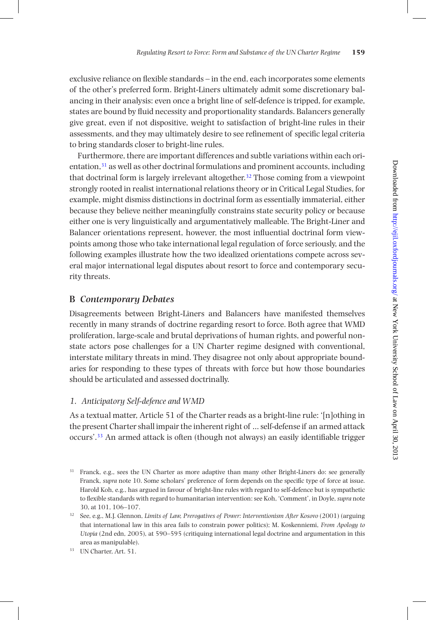exclusive reliance on flexible standards – in the end, each incorporates some elements of the other's preferred form. Bright-Liners ultimately admit some discretionary balancing in their analysis: even once a bright line of self-defence is tripped, for example, states are bound by fluid necessity and proportionality standards. Balancers generally give great, even if not dispositive, weight to satisfaction of bright-line rules in their assessments, and they may ultimately desire to see refinement of specific legal criteria to bring standards closer to bright-line rules.

Furthermore, there are important differences and subtle variations within each orientation,[31](#page-9-0) as well as other doctrinal formulations and prominent accounts, including that doctrinal form is largely irrelevant altogether[.32](#page-9-1) Those coming from a viewpoint strongly rooted in realist international relations theory or in Critical Legal Studies, for example, might dismiss distinctions in doctrinal form as essentially immaterial, either because they believe neither meaningfully constrains state security policy or because either one is very linguistically and argumentatively malleable. The Bright-Liner and Balancer orientations represent, however, the most influential doctrinal form viewpoints among those who take international legal regulation of force seriously, and the following examples illustrate how the two idealized orientations compete across several major international legal disputes about resort to force and contemporary security threats.

#### **B** *Contemporary Debates*

Disagreements between Bright-Liners and Balancers have manifested themselves recently in many strands of doctrine regarding resort to force. Both agree that WMD proliferation, large-scale and brutal deprivations of human rights, and powerful nonstate actors pose challenges for a UN Charter regime designed with conventional, interstate military threats in mind. They disagree not only about appropriate boundaries for responding to these types of threats with force but how those boundaries should be articulated and assessed doctrinally.

#### *1. Anticipatory Self-defence and WMD*

As a textual matter, Article 51 of the Charter reads as a bright-line rule: '[n]othing in the present Charter shall impair the inherent right of … self-defense if an armed attack occurs'[.33](#page-9-2) An armed attack is often (though not always) an easily identifiable trigger

<span id="page-9-0"></span><sup>&</sup>lt;sup>31</sup> Franck, e.g., sees the UN Charter as more adaptive than many other Bright-Liners do: see generally Franck, *supra* note 10. Some scholars' preference of form depends on the specific type of force at issue. Harold Koh, e.g., has argued in favour of bright-line rules with regard to self-defence but is sympathetic to flexible standards with regard to humanitarian intervention: see Koh, 'Comment', in Doyle, *supra* note 30, at 101, 106–107.

<span id="page-9-1"></span><sup>32</sup> See, e.g., M.J. Glennon, *Limits of Law, Prerogatives of Power: Interventionism After Kosovo* (2001) (arguing that international law in this area fails to constrain power politics); M. Koskenniemi, *From Apology to Utopia* (2nd edn, 2005), at 590–595 (critiquing international legal doctrine and argumentation in this area as manipulable).

<span id="page-9-2"></span><sup>33</sup> UN Charter, Art. 51.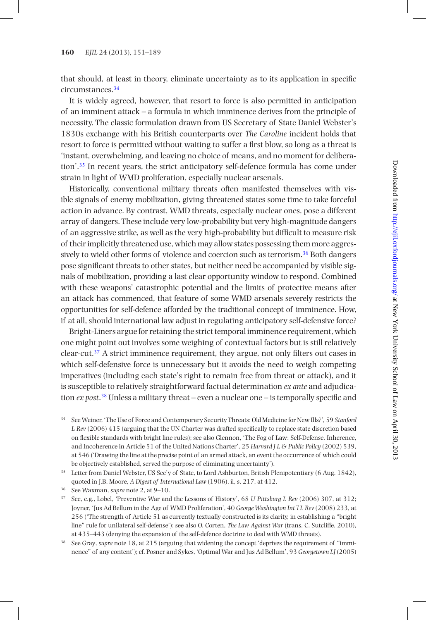that should, at least in theory, eliminate uncertainty as to its application in specific circumstances[.34](#page-10-0)

It is widely agreed, however, that resort to force is also permitted in anticipation of an imminent attack – a formula in which imminence derives from the principle of necessity. The classic formulation drawn from US Secretary of State Daniel Webster's 1830s exchange with his British counterparts over *The Caroline* incident holds that resort to force is permitted without waiting to suffer a first blow, so long as a threat is 'instant, overwhelming, and leaving no choice of means, and no moment for deliberation'.[35](#page-10-1) In recent years, the strict anticipatory self-defence formula has come under strain in light of WMD proliferation, especially nuclear arsenals.

Historically, conventional military threats often manifested themselves with visible signals of enemy mobilization, giving threatened states some time to take forceful action in advance. By contrast, WMD threats, especially nuclear ones, pose a different array of dangers. These include very low-probability but very high-magnitude dangers of an aggressive strike, as well as the very high-probability but difficult to measure risk of their implicitly threatened use, which may allow states possessing them more aggressively to wield other forms of violence and coercion such as terrorism[.36](#page-10-2) Both dangers pose significant threats to other states, but neither need be accompanied by visible signals of mobilization, providing a last clear opportunity window to respond. Combined with these weapons' catastrophic potential and the limits of protective means after an attack has commenced, that feature of some WMD arsenals severely restricts the opportunities for self-defence afforded by the traditional concept of imminence. How, if at all, should international law adjust in regulating anticipatory self-defensive force?

Bright-Liners argue for retaining the strict temporal imminence requirement, which one might point out involves some weighing of contextual factors but is still relatively clear-cut.[37](#page-10-3) A strict imminence requirement, they argue, not only filters out cases in which self-defensive force is unnecessary but it avoids the need to weigh competing imperatives (including each state's right to remain free from threat or attack), and it is susceptible to relatively straightforward factual determination *ex ante* and adjudication *ex post*. [38](#page-10-4) Unless a military threat – even a nuclear one – is temporally specific and

- <span id="page-10-0"></span><sup>34</sup> See Weiner, 'The Use of Force and Contemporary Security Threats: Old Medicine for New Ills?*',* 59 *Stanford L Rev* (2006) 415 (arguing that the UN Charter was drafted specifically to replace state discretion based on flexible standards with bright line rules); see also Glennon, 'The Fog of Law: Self-Defense, Inherence, and Incoherence in Article 51 of the United Nations Charter', 25 *Harvard J L & Public Policy* (2002) 539, at 546 ('Drawing the line at the precise point of an armed attack, an event the occurrence of which could be objectively established, served the purpose of eliminating uncertainty').
- <span id="page-10-1"></span><sup>35</sup> Letter from Daniel Webster, US Sec'y of State, to Lord Ashburton, British Plenipotentiary (6 Aug. 1842), quoted in J.B. Moore, *A Digest of International Law* (1906), ii, s. 217, at 412.
- <span id="page-10-2"></span><sup>36</sup> See Waxman, *supra* note 2, at 9–10.
- <span id="page-10-3"></span><sup>37</sup> See, e.g., Lobel, 'Preventive War and the Lessons of History', 68 *U Pittsburg L Rev* (2006) 307, at 312; Joyner, 'Jus Ad Bellum in the Age of WMD Proliferation', 40 *George Washington Int'l L Rev* (2008) 233, at 256 ('The strength of Article 51 as currently textually constructed is its clarity, in establishing a "bright line" rule for unilateral self-defense'); see also O. Corten, *The Law Against War* (trans. C. Sutcliffe, 2010), at 435–443 (denying the expansion of the self-defence doctrine to deal with WMD threats).
- <span id="page-10-4"></span><sup>38</sup> See Gray, *supra* note 18, at 215 (arguing that widening the concept 'deprives the requirement of "imminence" of any content'); cf. Posner and Sykes, 'Optimal War and Jus Ad Bellum', 93 *Georgetown LJ* (2005)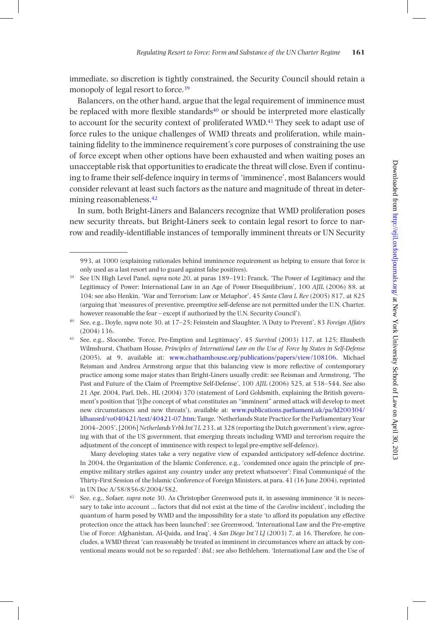immediate, so discretion is tightly constrained, the Security Council should retain a monopoly of legal resort to force.<sup>39</sup>

Balancers, on the other hand, argue that the legal requirement of imminence must be replaced with more flexible standards $40$  or should be interpreted more elastically to account for the security context of proliferated WMD[.41](#page-11-2) They seek to adapt use of force rules to the unique challenges of WMD threats and proliferation, while maintaining fidelity to the imminence requirement's core purposes of constraining the use of force except when other options have been exhausted and when waiting poses an unacceptable risk that opportunities to eradicate the threat will close. Even if continuing to frame their self-defence inquiry in terms of 'imminence', most Balancers would consider relevant at least such factors as the nature and magnitude of threat in determining reasonableness.<sup>42</sup>

In sum, both Bright-Liners and Balancers recognize that WMD proliferation poses new security threats, but Bright-Liners seek to contain legal resort to force to narrow and readily-identifiable instances of temporally imminent threats or UN Security

Many developing states take a very negative view of expanded anticipatory self-defence doctrine. In 2004, the Organization of the Islamic Conference, e.g., 'condemned once again the principle of preemptive military strikes against any country under any pretext whatsoever': Final Communiqué of the Thirty-First Session of the Islamic Conference of Foreign Ministers, at para. 41 (16 June 2004), reprinted in UN Doc A/58/856-S/2004/582.

<sup>993</sup>, at 1000 (explaining rationales behind imminence requirement as helping to ensure that force is only used as a last resort and to guard against false positives).

<span id="page-11-0"></span><sup>39</sup> See UN High Level Panel, *supra* note 20, at paras 189–191; Franck, 'The Power of Legitimacy and the Legitimacy of Power: International Law in an Age of Power Disequilibrium', 100 *AJIL* (2006) 88, at 104; see also Henkin, 'War and Terrorism: Law or Metaphor', 45 *Santa Clara L Rev* (2005) 817, at 825 (arguing that 'measures of preventive, preemptive self-defense are not permitted under the U.N. Charter, however reasonable the fear – except if authorized by the U.N. Security Council').

<span id="page-11-1"></span><sup>40</sup> See, e.g., Doyle, *supra* note 30, at 17–25; Feinstein and Slaughter, 'A Duty to Prevent', 83 *Foreign Affairs* (2004) 136.

<span id="page-11-2"></span><sup>41</sup> See, e.g., Slocombe, 'Force, Pre-Emption and Legitimacy', 45 *Survival* (2003) 117, at 125; Elizabeth Wilmshurst, Chatham House, *Principles of International Law on the Use of Force by States in Self-Defense* (2005), at 9, available at: [www.chathamhouse.org/publications/papers/view/108106](http://www.chathamhouse.org/publications/papers/view/108106). Michael Reisman and Andrea Armstrong argue that this balancing view is more reflective of contemporary practice among some major states than Bright-Liners usually credit: see Reisman and Armstrong, 'The Past and Future of the Claim of Preemptive Self-Defense*',* 100 *AJIL* (2006) 525, at 538–544. See also 21 Apr. 2004, Parl. Deb., HL (2004) 370 (statement of Lord Goldsmith, explaining the British government's position that '[t]he concept of what constitutes an "imminent" armed attack will develop to meet new circumstances and new threats'), available at: [www.publications.parliament.uk/pa/ld200304/](http://www.publications.parliament.uk/pa/ld200304/ldhansrd/vo040421/text/40421-07.htm) [ldhansrd/vo040421/text/40421-07.htm](http://www.publications.parliament.uk/pa/ld200304/ldhansrd/vo040421/text/40421-07.htm); Tange, 'Netherlands State Practice for the Parliamentary Year 2004–2005', [2006] *Netherlands Yrbk Int'l L* 233, at 328 (reporting the Dutch government's view, agreeing with that of the US government, that emerging threats including WMD and terrorism require the adjustment of the concept of imminence with respect to legal pre-emptive self-defence).

<span id="page-11-3"></span><sup>42</sup> See, e.g., Sofaer, *supra* note 30. As Christopher Greenwood puts it, in assessing imminence 'it is necessary to take into account … factors that did not exist at the time of the *Caroline* incident', including the quantum of harm posed by WMD and the impossibility for a state 'to afford its population any effective protection once the attack has been launched': see Greenwood, 'International Law and the Pre-emptive Use of Force: Afghanistan, Al-Qaida, and Iraq', 4 *San Diego Int'l LJ* (2003) 7, at 16. Therefore, he concludes, a WMD threat 'can reasonably be treated as imminent in circumstances where an attack by conventional means would not be so regarded': *ibid.*; see also Bethlehem, 'International Law and the Use of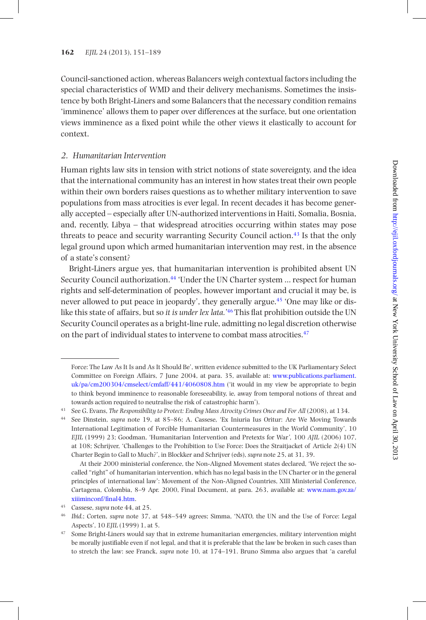Council-sanctioned action, whereas Balancers weigh contextual factors including the special characteristics of WMD and their delivery mechanisms. Sometimes the insistence by both Bright-Liners and some Balancers that the necessary condition remains 'imminence' allows them to paper over differences at the surface, but one orientation views imminence as a fixed point while the other views it elastically to account for context.

#### *2. Humanitarian Intervention*

Human rights law sits in tension with strict notions of state sovereignty, and the idea that the international community has an interest in how states treat their own people within their own borders raises questions as to whether military intervention to save populations from mass atrocities is ever legal. In recent decades it has become generally accepted – especially after UN-authorized interventions in Haiti, Somalia, Bosnia, and, recently, Libya – that widespread atrocities occurring within states may pose threats to peace and security warranting Security Council action.[43](#page-12-0) Is that the only legal ground upon which armed humanitarian intervention may rest, in the absence of a state's consent?

Bright-Liners argue yes, that humanitarian intervention is prohibited absent UN Security Council authorization.<sup>[44](#page-12-1)</sup> 'Under the UN Charter system ... respect for human rights and self-determination of peoples, however important and crucial it may be, is never allowed to put peace in jeopardy', they generally argue.<sup>45</sup> 'One may like or dislike this state of affairs, but so *it is under lex lata.'*[46](#page-12-3) This flat prohibition outside the UN Security Council operates as a bright-line rule, admitting no legal discretion otherwise on the part of individual states to intervene to combat mass atrocities.<sup>[47](#page-12-4)</sup>

Force: The Law As It Is and As It Should Be', written evidence submitted to the UK Parliamentary Select Committee on Foreign Affairs, 7 June 2004, at para. 35, available at: [www.publications.parliament.](http://www.publications.parliament.uk/pa/cm200304/cmselect/cmfaff/441/4060808.htm) [uk/pa/cm200304/cmselect/cmfaff/441/4060808.htm](http://www.publications.parliament.uk/pa/cm200304/cmselect/cmfaff/441/4060808.htm) ('it would in my view be appropriate to begin to think beyond imminence to reasonable foreseeability, ie, away from temporal notions of threat and towards action required to neutralise the risk of catastrophic harm').

<span id="page-12-0"></span><sup>&</sup>lt;sup>43</sup> See G. Evans, *The Responsibility to Protect: Ending Mass Atrocity Crimes Once and For All* (2008), at 134.

<span id="page-12-1"></span><sup>44</sup> See Dinstein, *supra* note 19, at 85–86; A. Cassese, 'Ex Iniuria Ius Oritur: Are We Moving Towards International Legitimation of Forcible Humanitarian Countermeasures in the World Community', 10 *EJIL* (1999) 23; Goodman, 'Humanitarian Intervention and Pretexts for War*',* 100 *AJIL* (2006) 107, at 108; Schrijver, 'Challenges to the Prohibition to Use Force: Does the Straitjacket of Article 2(4) UN Charter Begin to Gall to Much?', in Blockker and Schrijver (eds), *supra* note 25, at 31, 39.

At their 2000 ministerial conference, the Non-Aligned Movement states declared, 'We reject the socalled "right" of humanitarian intervention, which has no legal basis in the UN Charter or in the general principles of international law': Movement of the Non-Aligned Countries, XIII Ministerial Conference, Cartagena, Colombia, 8–9 Apr. 2000, Final Document, at para. 263, available at: [www.nam.gov.za/](http://www.nam.gov.za/xiiiminconf/final4.htm) [xiiiminconf/final4.htm](http://www.nam.gov.za/xiiiminconf/final4.htm).

<span id="page-12-2"></span><sup>45</sup> Cassese, *supra* note 44, at 25.

<span id="page-12-3"></span><sup>46</sup> *Ibid.*; Corten, *supra* note 37, at 548–549 agrees; Simma, 'NATO, the UN and the Use of Force: Legal Aspects', 10 *EJIL* (1999) 1, at 5.

<span id="page-12-4"></span><sup>&</sup>lt;sup>47</sup> Some Bright-Liners would say that in extreme humanitarian emergencies, military intervention might be morally justifiable even if not legal, and that it is preferable that the law be broken in such cases than to stretch the law: see Franck, *supra* note 10, at 174–191. Bruno Simma also argues that 'a careful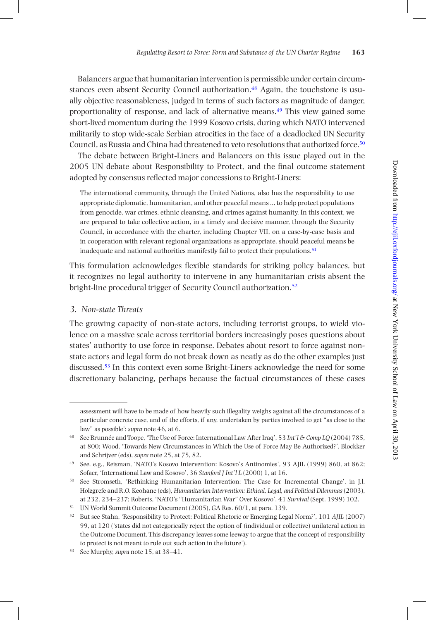Balancers argue that humanitarian intervention is permissible under certain circumstances even absent Security Council authorization.[48](#page-13-0) Again, the touchstone is usually objective reasonableness, judged in terms of such factors as magnitude of danger, proportionality of response, and lack of alternative means[.49](#page-13-1) This view gained some short-lived momentum during the 1999 Kosovo crisis, during which NATO intervened militarily to stop wide-scale Serbian atrocities in the face of a deadlocked UN Security Council, as Russia and China had threatened to veto resolutions that authorized force.<sup>50</sup>

The debate between Bright-Liners and Balancers on this issue played out in the 2005 UN debate about Responsibility to Protect, and the final outcome statement adopted by consensus reflected major concessions to Bright-Liners:

The international community, through the United Nations, also has the responsibility to use appropriate diplomatic, humanitarian, and other peaceful means … to help protect populations from genocide, war crimes, ethnic cleansing, and crimes against humanity. In this context, we are prepared to take collective action, in a timely and decisive manner, through the Security Council, in accordance with the charter, including Chapter VII, on a case-by-case basis and in cooperation with relevant regional organizations as appropriate, should peaceful means be inadequate and national authorities manifestly fail to protect their populations.<sup>51</sup>

This formulation acknowledges flexible standards for striking policy balances, but it recognizes no legal authority to intervene in any humanitarian crisis absent the bright-line procedural trigger of Security Council authorization.<sup>[52](#page-13-4)</sup>

#### *3. Non-state Threats*

The growing capacity of non-state actors, including terrorist groups, to wield violence on a massive scale across territorial borders increasingly poses questions about states' authority to use force in response. Debates about resort to force against nonstate actors and legal form do not break down as neatly as do the other examples just discussed.[53](#page-13-5) In this context even some Bright-Liners acknowledge the need for some discretionary balancing, perhaps because the factual circumstances of these cases

assessment will have to be made of how heavily such illegality weighs against all the circumstances of a particular concrete case, and of the efforts, if any, undertaken by parties involved to get "as close to the law" as possible': *supra* note 46, at 6.

<span id="page-13-0"></span><sup>48</sup> See Brunnée and Toope, 'The Use of Force: International Law After Iraq', 53 *Int'l & Comp LQ* (2004) 785, at 800; Wood, 'Towards New Circumstances in Which the Use of Force May Be Authorized?*',* Blockker and Schrijver (eds), *supra* note 25, at 75, 82.

<span id="page-13-1"></span><sup>49</sup> See, e.g., Reisman, 'NATO's Kosovo Intervention: Kosovo's Antinomies', 93 AJIL (1999) 860, at 862; Sofaer, 'International Law and Kosovo', 36 *Stanford J Int'l L* (2000) 1, at 16.

<span id="page-13-2"></span><sup>50</sup> See Stromseth, 'Rethinking Humanitarian Intervention: The Case for Incremental Change', in J.l. Holzgrefe and R.O. Keohane (eds), *Humanitarian Intervention: Ethical, Legal, and Political Dilemmas* (2003), at 232, 234–237; Roberts, 'NATO's "Humanitarian War" Over Kosovo', 41 *Survival* (Sept. 1999) 102.

<span id="page-13-3"></span><sup>51</sup> UN World Summit Outcome Document (2005), GA Res. 60/1, at para. 139.

<span id="page-13-4"></span><sup>52</sup> But see Stahn, 'Responsibility to Protect: Political Rhetoric or Emerging Legal Norm?', 101 *AJIL* (2007) 99, at 120 ('states did not categorically reject the option of (individual or collective) unilateral action in the Outcome Document. This discrepancy leaves some leeway to argue that the concept of responsibility to protect is not meant to rule out such action in the future').

<span id="page-13-5"></span><sup>53</sup> See Murphy, *supra* note 15, at 38–41.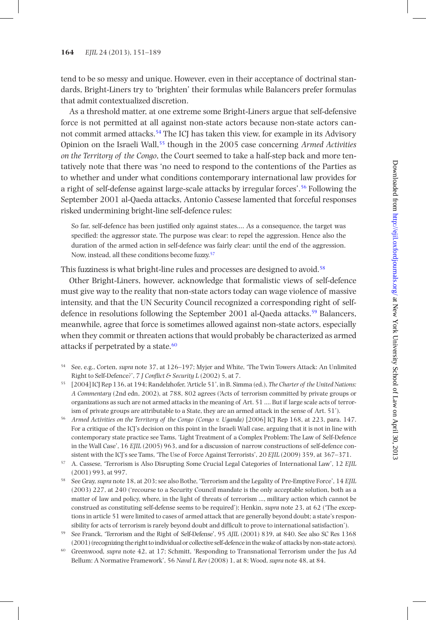tend to be so messy and unique. However, even in their acceptance of doctrinal standards, Bright-Liners try to 'brighten' their formulas while Balancers prefer formulas that admit contextualized discretion.

As a threshold matter, at one extreme some Bright-Liners argue that self-defensive force is not permitted at all against non-state actors because non-state actors cannot commit armed attacks.[54](#page-14-0) The ICJ has taken this view, for example in its Advisory Opinion on the Israeli Wall,[55](#page-14-1) though in the 2005 case concerning *Armed Activities on the Territory of the Congo*, the Court seemed to take a half-step back and more tentatively note that there was 'no need to respond to the contentions of the Parties as to whether and under what conditions contemporary international law provides for a right of self-defense against large-scale attacks by irregular forces'.[56](#page-14-2) Following the September 2001 al-Qaeda attacks, Antonio Cassese lamented that forceful responses risked undermining bright-line self-defence rules:

So far, self-defence has been justified only against states…. As a consequence, the target was specified: the aggressor state. The purpose was clear: to repel the aggression. Hence also the duration of the armed action in self-defence was fairly clear: until the end of the aggression. Now, instead, all these conditions become fuzzy.[57](#page-14-3)

This fuzziness is what bright-line rules and processes are designed to avoid.<sup>58</sup>

Other Bright-Liners, however, acknowledge that formalistic views of self-defence must give way to the reality that non-state actors today can wage violence of massive intensity, and that the UN Security Council recognized a corresponding right of selfdefence in resolutions following the September 2001 al-Qaeda attacks.<sup>59</sup> Balancers, meanwhile, agree that force is sometimes allowed against non-state actors, especially when they commit or threaten actions that would probably be characterized as armed attacks if perpetrated by a state. $60$ 

- <span id="page-14-0"></span><sup>54</sup> See, e.g., Corten, *supra* note 37, at 126–197; Myjer and White, 'The Twin Towers Attack: An Unlimited Right to Self-Defence?', 7 *J Conflict & Security L* (2002) 5, at 7.
- <span id="page-14-1"></span><sup>55</sup> [2004] ICJ Rep 136, at 194; Randelzhofer, 'Article 51', in B. Simma (ed.), *The Charter of the United Nations: A Commentary* (2nd edn, 2002), at 788, 802 agrees ('Acts of terrorism committed by private groups or organizations as such are not armed attacks in the meaning of Art. 51 …. But if large scale acts of terrorism of private groups are attributable to a State, they are an armed attack in the sense of Art. 51').
- <span id="page-14-2"></span><sup>56</sup> *Armed Activities on the Territory of the Congo (Congo v. Uganda)* [2006] ICJ Rep 168, at 223, para. 147. For a critique of the ICJ's decision on this point in the Israeli Wall case, arguing that it is not in line with contemporary state practice see Tams, 'Light Treatment of a Complex Problem: The Law of Self-Defence in the Wall Case', 16 *EJIL* (2005) 963, and for a discussion of narrow constructions of self-defence consistent with the ICJ's see Tams, 'The Use of Force Against Terrorists', 20 *EJIL* (2009) 359, at 367–371.
- <span id="page-14-3"></span><sup>57</sup> A. Cassese, 'Terrorism is Also Disrupting Some Crucial Legal Categories of International Law', 12 *EJIL* (2001) 993, at 997.
- <span id="page-14-4"></span><sup>58</sup> See Gray, *supra* note 18, at 203; see also Bothe, 'Terrorism and the Legality of Pre-Emptive Force', 14 *EJIL* (2003) 227, at 240 ('recourse to a Security Council mandate is the only acceptable solution, both as a matter of law and policy, where, in the light of threats of terrorism …, military action which cannot be construed as constituting self-defense seems to be required'); Henkin, *supra* note 23, at 62 ('The exceptions in article 51 were limited to cases of armed attack that are generally beyond doubt; a state's responsibility for acts of terrorism is rarely beyond doubt and difficult to prove to international satisfaction').
- <span id="page-14-5"></span><sup>59</sup> See Franck, 'Terrorism and the Right of Self-Defense', 95 *AJIL* (2001) 839, at 840. See also SC Res 1368 (2001) (recognizing the right to individual or collective self-defence in the wake of attacks by non-state actors).
- <span id="page-14-6"></span><sup>60</sup> Greenwood, *supra* note 42, at 17; Schmitt, 'Responding to Transnational Terrorism under the Jus Ad Bellum: A Normative Framework', 56 *Naval L Rev* (2008) 1, at 8; Wood, *supra* note 48, at 84.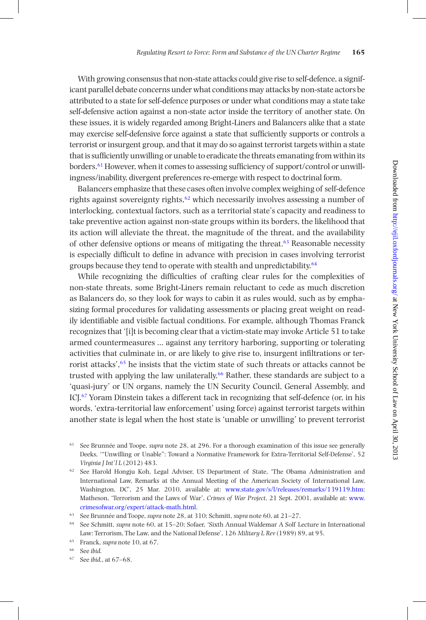With growing consensus that non-state attacks could give rise to self-defence, a significant parallel debate concerns under what conditions may attacks by non-state actors be attributed to a state for self-defence purposes or under what conditions may a state take self-defensive action against a non-state actor inside the territory of another state. On these issues, it is widely regarded among Bright-Liners and Balancers alike that a state may exercise self-defensive force against a state that sufficiently supports or controls a terrorist or insurgent group, and that it may do so against terrorist targets within a state that is sufficiently unwilling or unable to eradicate the threats emanating from within its borders.[61](#page-15-0) However, when it comes to assessing sufficiency of support/control or unwillingness/inability, divergent preferences re-emerge with respect to doctrinal form.

Balancers emphasize that these cases often involve complex weighing of self-defence rights against sovereignty rights, $62$  which necessarily involves assessing a number of interlocking, contextual factors, such as a territorial state's capacity and readiness to take preventive action against non-state groups within its borders, the likelihood that its action will alleviate the threat, the magnitude of the threat, and the availability of other defensive options or means of mitigating the threat. $63$  Reasonable necessity is especially difficult to define in advance with precision in cases involving terrorist groups because they tend to operate with stealth and unpredictability.<sup>[64](#page-15-3)</sup>

While recognizing the difficulties of crafting clear rules for the complexities of non-state threats, some Bright-Liners remain reluctant to cede as much discretion as Balancers do, so they look for ways to cabin it as rules would, such as by emphasizing formal procedures for validating assessments or placing great weight on readily identifiable and visible factual conditions. For example, although Thomas Franck recognizes that '[i]t is becoming clear that a victim-state may invoke Article 51 to take armed countermeasures … against any territory harboring, supporting or tolerating activities that culminate in, or are likely to give rise to, insurgent infiltrations or terrorist attacks',<sup>65</sup> he insists that the victim state of such threats or attacks cannot be trusted with applying the law unilaterally.<sup>66</sup> Rather, these standards are subject to a 'quasi-jury' or UN organs, namely the UN Security Council, General Assembly, and ICJ.[67](#page-15-6) Yoram Dinstein takes a different tack in recognizing that self-defence (or, in his words, 'extra-territorial law enforcement' using force) against terrorist targets within another state is legal when the host state is 'unable or unwilling' to prevent terrorist

<span id="page-15-0"></span><sup>61</sup> See Brunnée and Toope, *supra* note 28, at 296. For a thorough examination of this issue see generally Deeks, '"Unwilling or Unable": Toward a Normative Framework for Extra-Territorial Self-Defense', 52 *Virginia J Int'l L* (2012) 483.

<span id="page-15-1"></span><sup>62</sup> See Harold Hongju Koh, Legal Adviser, US Department of State, 'The Obama Administration and International Law, Remarks at the Annual Meeting of the American Society of International Law, Washington, DC', 25 Mar. 2010, available at: [www.state.gov/s/l/releases/remarks/139119.htm](http://www.state.gov/s/l/releases/remarks/139119.htm); Matheson, 'Terrorism and the Laws of War', *Crimes of War Project*, 21 Sept. 2001, available at: [www.](http://www.crimesofwar.org/expert/attack-math.html) [crimesofwar.org/expert/attack-math.html.](http://www.crimesofwar.org/expert/attack-math.html)

<span id="page-15-2"></span><sup>63</sup> See Brunnée and Toope, *supra* note 28, at 310; Schmitt, *supra* note 60, at 21–27.

<span id="page-15-3"></span><sup>64</sup> See Schmitt, *supra* note 60, at 15–20; Sofaer, 'Sixth Annual Waldemar A Solf Lecture in International Law: Terrorism, The Law, and the National Defense', 126 *Military L Rev* (1989) 89, at 95.

<span id="page-15-4"></span><sup>65</sup> Franck, *supra* note 10, at 67.

<span id="page-15-5"></span><sup>66</sup> See *ibid*.

<span id="page-15-6"></span><sup>67</sup> See *ibid*., at 67–68.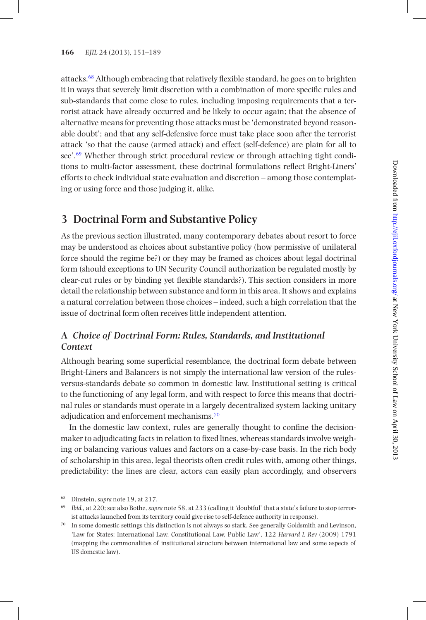attacks[.68](#page-16-0) Although embracing that relatively flexible standard, he goes on to brighten it in ways that severely limit discretion with a combination of more specific rules and sub-standards that come close to rules, including imposing requirements that a terrorist attack have already occurred and be likely to occur again; that the absence of alternative means for preventing those attacks must be 'demonstrated beyond reasonable doubt'; and that any self-defensive force must take place soon after the terrorist attack 'so that the cause (armed attack) and effect (self-defence) are plain for all to see'[.69](#page-16-1) Whether through strict procedural review or through attaching tight conditions to multi-factor assessment, these doctrinal formulations reflect Bright-Liners' efforts to check individual state evaluation and discretion – among those contemplating or using force and those judging it, alike.

## **3 Doctrinal Form and Substantive Policy**

As the previous section illustrated, many contemporary debates about resort to force may be understood as choices about substantive policy (how permissive of unilateral force should the regime be?) or they may be framed as choices about legal doctrinal form (should exceptions to UN Security Council authorization be regulated mostly by clear-cut rules or by binding yet flexible standards?). This section considers in more detail the relationship between substance and form in this area. It shows and explains a natural correlation between those choices – indeed, such a high correlation that the issue of doctrinal form often receives little independent attention.

## **A** *Choice of Doctrinal Form: Rules, Standards, and Institutional Context*

Although bearing some superficial resemblance, the doctrinal form debate between Bright-Liners and Balancers is not simply the international law version of the rulesversus-standards debate so common in domestic law. Institutional setting is critical to the functioning of any legal form, and with respect to force this means that doctrinal rules or standards must operate in a largely decentralized system lacking unitary adjudication and enforcement mechanisms.[70](#page-16-2)

In the domestic law context, rules are generally thought to confine the decisionmaker to adjudicating facts in relation to fixed lines, whereas standards involve weighing or balancing various values and factors on a case-by-case basis. In the rich body of scholarship in this area, legal theorists often credit rules with, among other things, predictability: the lines are clear, actors can easily plan accordingly, and observers

<span id="page-16-0"></span><sup>68</sup> Dinstein, *supra* note 19, at 217.

<span id="page-16-1"></span><sup>69</sup> *Ibid.,* at 220; see also Bothe, *supra* note 58, at 233 (calling it 'doubtful' that a state's failure to stop terrorist attacks launched from its territory could give rise to self-defence authority in response).

<span id="page-16-2"></span><sup>70</sup> In some domestic settings this distinction is not always so stark. See generally Goldsmith and Levinson*, '*Law for States: International Law, Constitutional Law, Public Law', 122 *Harvard L Rev* (2009) 1791 (mapping the commonalities of institutional structure between international law and some aspects of US domestic law).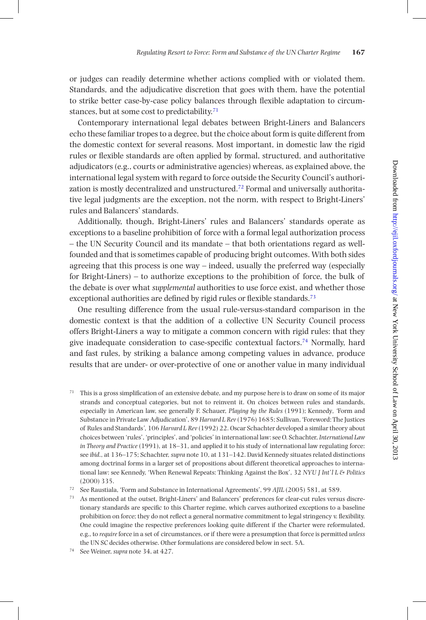or judges can readily determine whether actions complied with or violated them. Standards, and the adjudicative discretion that goes with them, have the potential to strike better case-by-case policy balances through flexible adaptation to circum-stances, but at some cost to predictability.<sup>[71](#page-17-0)</sup>

Contemporary international legal debates between Bright-Liners and Balancers echo these familiar tropes to a degree, but the choice about form is quite different from the domestic context for several reasons. Most important, in domestic law the rigid rules or flexible standards are often applied by formal, structured, and authoritative adjudicators (e.g., courts or administrative agencies) whereas, as explained above, the international legal system with regard to force outside the Security Council's authorization is mostly decentralized and unstructured.[72](#page-17-1) Formal and universally authoritative legal judgments are the exception, not the norm, with respect to Bright-Liners' rules and Balancers' standards.

Additionally, though, Bright-Liners' rules and Balancers' standards operate as exceptions to a baseline prohibition of force with a formal legal authorization process – the UN Security Council and its mandate – that both orientations regard as wellfounded and that is sometimes capable of producing bright outcomes. With both sides agreeing that this process is one way – indeed, usually the preferred way (especially for Bright-Liners) – to authorize exceptions to the prohibition of force, the bulk of the debate is over what *supplemental* authorities to use force exist, and whether those exceptional authorities are defined by rigid rules or flexible standards.<sup>73</sup>

One resulting difference from the usual rule-versus-standard comparison in the domestic context is that the addition of a collective UN Security Council process offers Bright-Liners a way to mitigate a common concern with rigid rules: that they give inadequate consideration to case-specific contextual factors.<sup>74</sup> Normally, hard and fast rules, by striking a balance among competing values in advance, produce results that are under- or over-protective of one or another value in many individual

- <span id="page-17-0"></span> $71$  This is a gross simplification of an extensive debate, and my purpose here is to draw on some of its major strands and conceptual categories, but not to reinvent it. On choices between rules and standards, especially in American law, see generally F. Schauer, *Playing by the Rules* (1991); Kennedy*, '*Form and Substance in Private Law Adjudication', 89 *Harvard L Rev* (1976) 1685; Sullivan, 'Foreword: The Justices of Rules and Standards*',* 106 *Harvard L Rev* (1992) 22. Oscar Schachter developed a similar theory about choices between 'rules', 'principles', and 'policies' in international law: see O. Schachter, *International Law in Theory and Practice* (1991), at 18–31, and applied it to his study of international law regulating force: see *ibid*., at 136–175; Schachter, *supra* note 10, at 131–142. David Kennedy situates related distinctions among doctrinal forms in a larger set of propositions about different theoretical approaches to international law: see Kennedy, 'When Renewal Repeats: Thinking Against the Box', 32 *NYU J Int'l L & Politics* (2000) 335.
- <span id="page-17-1"></span><sup>72</sup> See Raustiala, 'Form and Substance in International Agreements', 99 *AJIL* (2005) 581, at 589.
- <span id="page-17-2"></span><sup>73</sup> As mentioned at the outset, Bright-Liners' and Balancers' preferences for clear-cut rules versus discretionary standards are specific to this Charter regime, which carves authorized exceptions to a baseline prohibition on force; they do not reflect a general normative commitment to legal stringency v. flexibility. One could imagine the respective preferences looking quite different if the Charter were reformulated, e.g., to *require* force in a set of circumstances, or if there were a presumption that force is permitted *unless* the UN SC decides otherwise. Other formulations are considered below in sect. 5A.

<span id="page-17-3"></span><sup>74</sup> See Weiner, *supra* note 34, at 427.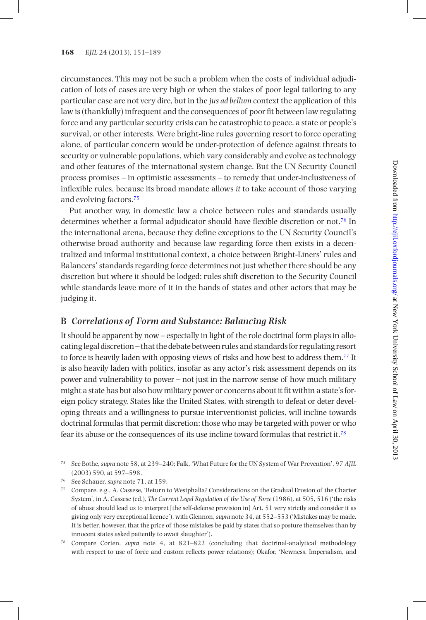circumstances. This may not be such a problem when the costs of individual adjudication of lots of cases are very high or when the stakes of poor legal tailoring to any particular case are not very dire, but in the *jus ad bellum* context the application of this law is (thankfully) infrequent and the consequences of poor fit between law regulating force and any particular security crisis can be catastrophic to peace, a state or people's survival, or other interests. Were bright-line rules governing resort to force operating alone, of particular concern would be under-protection of defence against threats to security or vulnerable populations, which vary considerably and evolve as technology and other features of the international system change. But the UN Security Council process promises – in optimistic assessments – to remedy that under-inclusiveness of inflexible rules, because its broad mandate allows *it* to take account of those varying and evolving factors.[75](#page-18-0)

Put another way, in domestic law a choice between rules and standards usually determines whether a formal adjudicator should have flexible discretion or not[.76](#page-18-1) In the international arena, because they define exceptions to the UN Security Council's otherwise broad authority and because law regarding force then exists in a decentralized and informal institutional context, a choice between Bright-Liners' rules and Balancers' standards regarding force determines not just whether there should be any discretion but where it should be lodged: rules shift discretion to the Security Council while standards leave more of it in the hands of states and other actors that may be judging it.

#### **B** *Correlations of Form and Substance: Balancing Risk*

It should be apparent by now – especially in light of the role doctrinal form plays in allocating legal discretion – that the debate between rules and standards for regulating resort to force is heavily laden with opposing views of risks and how best to address them.[77](#page-18-2) It is also heavily laden with politics, insofar as any actor's risk assessment depends on its power and vulnerability to power – not just in the narrow sense of how much military might a state has but also how military power or concerns about it fit within a state's foreign policy strategy. States like the United States, with strength to defeat or deter developing threats and a willingness to pursue interventionist policies, will incline towards doctrinal formulas that permit discretion; those who may be targeted with power or who fear its abuse or the consequences of its use incline toward formulas that restrict it[.78](#page-18-3)

<span id="page-18-0"></span><sup>75</sup> See Bothe, *supra* note 58, at 239–240; Falk, 'What Future for the UN System of War Prevention', 97 *AJIL* (2003) 590, at 597–598.

<span id="page-18-1"></span><sup>76</sup> See Schauer, *supra* note 71, at 159.

<span id="page-18-2"></span><sup>77</sup> Compare, e.g., A. Cassese, 'Return to Westphalia? Considerations on the Gradual Erosion of the Charter System', in A. Cassese (ed.), *The Current Legal Regulation of the Use of Force* (1986), at 505, 516 ('the risks of abuse should lead us to interpret [the self-defense provision in] Art. 51 very strictly and consider it as giving only very exceptional licence'), with Glennon, *supra* note 34, at 552–553 ('Mistakes may be made. It is better, however, that the price of those mistakes be paid by states that so posture themselves than by innocent states asked patiently to await slaughter').

<span id="page-18-3"></span><sup>78</sup> Compare Corten, *supra* note 4, at 821–822 (concluding that doctrinal-analytical methodology with respect to use of force and custom reflects power relations); Okafor, 'Newness, Imperialism, and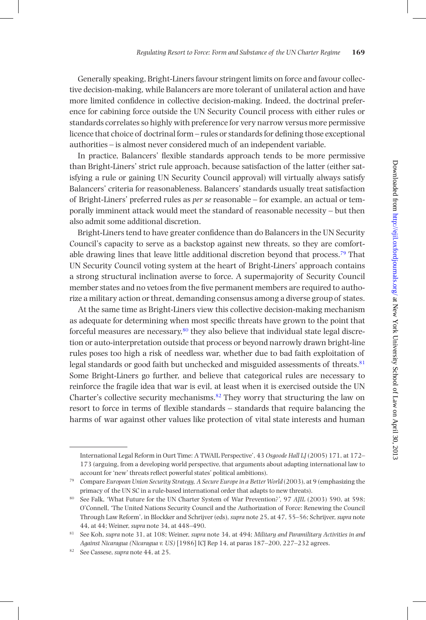Generally speaking, Bright-Liners favour stringent limits on force and favour collective decision-making, while Balancers are more tolerant of unilateral action and have more limited confidence in collective decision-making. Indeed, the doctrinal preference for cabining force outside the UN Security Council process with either rules or standards correlates so highly with preference for very narrow versus more permissive licence that choice of doctrinal form – rules or standards for defining those exceptional authorities – is almost never considered much of an independent variable.

In practice, Balancers' flexible standards approach tends to be more permissive than Bright-Liners' strict rule approach, because satisfaction of the latter (either satisfying a rule or gaining UN Security Council approval) will virtually always satisfy Balancers' criteria for reasonableness. Balancers' standards usually treat satisfaction of Bright-Liners' preferred rules as *per se* reasonable – for example, an actual or temporally imminent attack would meet the standard of reasonable necessity – but then also admit some additional discretion.

Bright-Liners tend to have greater confidence than do Balancers in the UN Security Council's capacity to serve as a backstop against new threats, so they are comfortable drawing lines that leave little additional discretion beyond that process.[79](#page-19-0) That UN Security Council voting system at the heart of Bright-Liners' approach contains a strong structural inclination averse to force. A supermajority of Security Council member states and no vetoes from the five permanent members are required to authorize a military action or threat, demanding consensus among a diverse group of states.

At the same time as Bright-Liners view this collective decision-making mechanism as adequate for determining when most specific threats have grown to the point that forceful measures are necessary,<sup>80</sup> they also believe that individual state legal discretion or auto-interpretation outside that process or beyond narrowly drawn bright-line rules poses too high a risk of needless war, whether due to bad faith exploitation of legal standards or good faith but unchecked and misguided assessments of threats.<sup>81</sup> Some Bright-Liners go further, and believe that categorical rules are necessary to reinforce the fragile idea that war is evil, at least when it is exercised outside the UN Charter's collective security mechanisms. $82$  They worry that structuring the law on resort to force in terms of flexible standards – standards that require balancing the harms of war against other values like protection of vital state interests and human

International Legal Reform in Ourt Time: A TWAIL Perspective', 43 *Osgoode Hall LJ* (2005) 171, at 172– 173 (arguing, from a developing world perspective, that arguments about adapting international law to account for 'new' threats reflect powerful states' political ambitions).

<span id="page-19-0"></span><sup>79</sup> Compare *European Union Security Strategy, A Secure Europe in a Better World* (2003), at 9 (emphasizing the primacy of the UN SC in a rule-based international order that adapts to new threats).

<span id="page-19-1"></span><sup>80</sup> See Falk, 'What Future for the UN Charter System of War Prevention?*',* 97 *AJIL* (2003) 590, at 598; O'Connell, 'The United Nations Security Council and the Authorization of Force: Renewing the Council Through Law Reform', in Blockker and Schrijver (eds), *supra* note 25, at 47, 55–56; Schrijver, *supra* note 44, at 44; Weiner, *supra* note 34, at 448–490.

<span id="page-19-2"></span><sup>81</sup> See Koh, *supra* note 31, at 108; Weiner, *supra* note 34, at 494; *Military and Paramilitary Activities in and Against Nicaragua (Nicaragua v. US)* [1986] ICJ Rep 14, at paras 187–200, 227–232 agrees.

<span id="page-19-3"></span><sup>82</sup> See Cassese, *supra* note 44, at 25.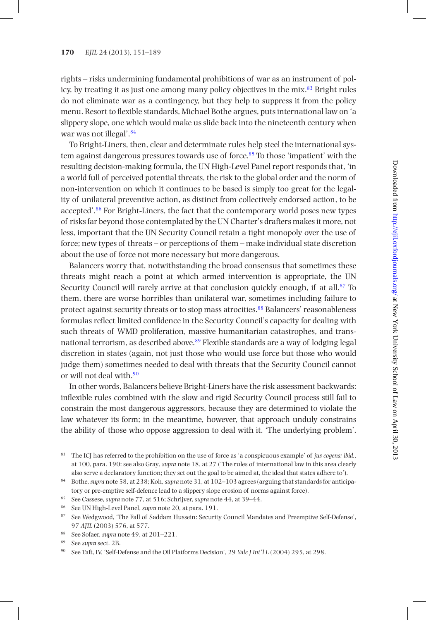rights – risks undermining fundamental prohibitions of war as an instrument of policy, by treating it as just one among many policy objectives in the mix.[83](#page-20-0) Bright rules do not eliminate war as a contingency, but they help to suppress it from the policy menu. Resort to flexible standards, Michael Bothe argues, puts international law on 'a slippery slope, one which would make us slide back into the nineteenth century when war was not illegal'[.84](#page-20-1)

To Bright-Liners, then, clear and determinate rules help steel the international sys-tem against dangerous pressures towards use of force.<sup>[85](#page-20-2)</sup> To those 'impatient' with the resulting decision-making formula, the UN High-Level Panel report responds that, 'in a world full of perceived potential threats, the risk to the global order and the norm of non-intervention on which it continues to be based is simply too great for the legality of unilateral preventive action, as distinct from collectively endorsed action, to be accepted'.[86](#page-20-3) For Bright-Liners, the fact that the contemporary world poses new types of risks far beyond those contemplated by the UN Charter's drafters makes it more, not less, important that the UN Security Council retain a tight monopoly over the use of force; new types of threats – or perceptions of them – make individual state discretion about the use of force not more necessary but more dangerous.

Balancers worry that, notwithstanding the broad consensus that sometimes these threats might reach a point at which armed intervention is appropriate, the UN Security Council will rarely arrive at that conclusion quickly enough, if at all.<sup>87</sup> To them, there are worse horribles than unilateral war, sometimes including failure to protect against security threats or to stop mass atrocities.[88](#page-20-5) Balancers' reasonableness formulas reflect limited confidence in the Security Council's capacity for dealing with such threats of WMD proliferation, massive humanitarian catastrophes, and transnational terrorism, as described above.[89](#page-20-6) Flexible standards are a way of lodging legal discretion in states (again, not just those who would use force but those who would judge them) sometimes needed to deal with threats that the Security Council cannot or will not deal with[.90](#page-20-7)

In other words, Balancers believe Bright-Liners have the risk assessment backwards: inflexible rules combined with the slow and rigid Security Council process still fail to constrain the most dangerous aggressors, because they are determined to violate the law whatever its form; in the meantime, however, that approach unduly constrains the ability of those who oppose aggression to deal with it. 'The underlying problem',

<span id="page-20-0"></span><sup>83</sup> The ICJ has referred to the prohibition on the use of force as 'a conspicuous example' of *jus cogens: ibid.,* at 100, para. 190; see also Gray, *supra* note 18, at 27 ('The rules of international law in this area clearly also serve a declaratory function; they set out the goal to be aimed at, the ideal that states adhere to').

<span id="page-20-1"></span><sup>84</sup> Bothe, *supra* note 58, at 238; Koh, *supra* note 31, at 102–103 agrees (arguing that standards for anticipatory or pre-emptive self-defence lead to a slippery slope erosion of norms against force).

<span id="page-20-2"></span><sup>85</sup> See Cassese, *supra* note 77, at 516; Schrijver, *supra* note 44, at 39–44.

<span id="page-20-3"></span><sup>86</sup> See UN High-Level Panel, *supra* note 20, at para. 191.

<span id="page-20-4"></span><sup>87</sup> See Wedgwood, 'The Fall of Saddam Hussein: Security Council Mandates and Preemptive Self-Defense', 97 *AJIL* (2003) 576, at 577.

<span id="page-20-5"></span><sup>88</sup> See Sofaer, *supra* note 49, at 201–221.

<span id="page-20-6"></span><sup>89</sup> See *supra* sect. 2B.

<span id="page-20-7"></span><sup>90</sup> See Taft, IV, 'Self-Defense and the Oil Platforms Decision', 29 *Yale J Int'l L* (2004) 295, at 298.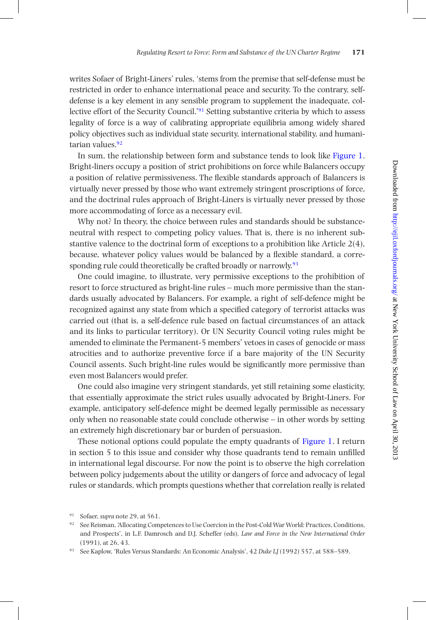writes Sofaer of Bright-Liners' rules, 'stems from the premise that self-defense must be restricted in order to enhance international peace and security. To the contrary, selfdefense is a key element in any sensible program to supplement the inadequate, col-lective effort of the Security Council.'<sup>[91](#page-21-0)</sup> Setting substantive criteria by which to assess legality of force is a way of calibrating appropriate equilibria among widely shared policy objectives such as individual state security, international stability, and humani-tarian values.<sup>[92](#page-21-1)</sup>

In sum, the relationship between form and substance tends to look like [Figure 1.](#page-22-0) Bright-liners occupy a position of strict prohibitions on force while Balancers occupy a position of relative permissiveness. The flexible standards approach of Balancers is virtually never pressed by those who want extremely stringent proscriptions of force, and the doctrinal rules approach of Bright-Liners is virtually never pressed by those more accommodating of force as a necessary evil.

Why not? In theory, the choice between rules and standards should be substanceneutral with respect to competing policy values. That is, there is no inherent substantive valence to the doctrinal form of exceptions to a prohibition like Article  $2(4)$ , because, whatever policy values would be balanced by a flexible standard, a corre-sponding rule could theoretically be crafted broadly or narrowly.<sup>[93](#page-21-2)</sup>

One could imagine, to illustrate, very permissive exceptions to the prohibition of resort to force structured as bright-line rules – much more permissive than the standards usually advocated by Balancers. For example, a right of self-defence might be recognized against any state from which a specified category of terrorist attacks was carried out (that is, a self-defence rule based on factual circumstances of an attack and its links to particular territory). Or UN Security Council voting rules might be amended to eliminate the Permanent-5 members' vetoes in cases of genocide or mass atrocities and to authorize preventive force if a bare majority of the UN Security Council assents. Such bright-line rules would be significantly more permissive than even most Balancers would prefer.

One could also imagine very stringent standards, yet still retaining some elasticity, that essentially approximate the strict rules usually advocated by Bright-Liners. For example, anticipatory self-defence might be deemed legally permissible as necessary only when no reasonable state could conclude otherwise – in other words by setting an extremely high discretionary bar or burden of persuasion.

These notional options could populate the empty quadrants of [Figure 1.](#page-22-0) I return in section 5 to this issue and consider why those quadrants tend to remain unfilled in international legal discourse. For now the point is to observe the high correlation between policy judgements about the utility or dangers of force and advocacy of legal rules or standards, which prompts questions whether that correlation really is related

<span id="page-21-0"></span><sup>91</sup> Sofaer, *supra* note 29, at 561.

<span id="page-21-1"></span><sup>&</sup>lt;sup>92</sup> See Reisman, 'Allocating Competences to Use Coercion in the Post-Cold War World: Practices, Conditions, and Prospects', in L.F. Damrosch and D.J. Scheffer (eds), *Law and Force in the New International Order* (1991), at 26, 43.

<span id="page-21-2"></span><sup>93</sup> See Kaplow, 'Rules Versus Standards: An Economic Analysis', 42 *Duke LJ* (1992) 557, at 588–589.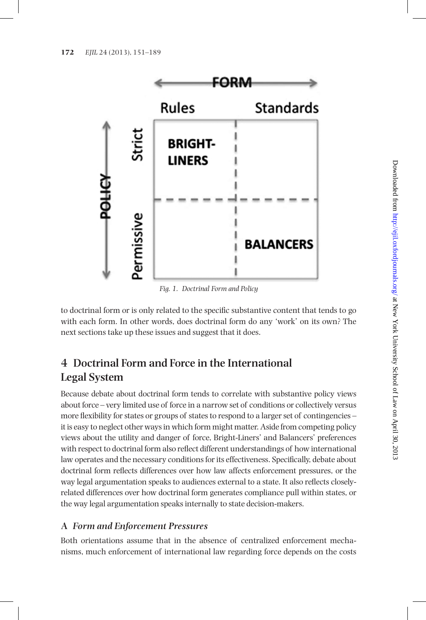

<span id="page-22-0"></span>*Fig. 1. Doctrinal Form and Policy*

to doctrinal form or is only related to the specific substantive content that tends to go with each form. In other words, does doctrinal form do any 'work' on its own? The next sections take up these issues and suggest that it does.

# **4 Doctrinal Form and Force in the International Legal System**

Because debate about doctrinal form tends to correlate with substantive policy views about force – very limited use of force in a narrow set of conditions or collectively versus more flexibility for states or groups of states to respond to a larger set of contingencies – it is easy to neglect other ways in which form might matter. Aside from competing policy views about the utility and danger of force, Bright-Liners' and Balancers' preferences with respect to doctrinal form also reflect different understandings of how international law operates and the necessary conditions for its effectiveness. Specifically, debate about doctrinal form reflects differences over how law affects enforcement pressures, or the way legal argumentation speaks to audiences external to a state. It also reflects closelyrelated differences over how doctrinal form generates compliance pull within states, or the way legal argumentation speaks internally to state decision-makers.

## **A** *Form and Enforcement Pressures*

Both orientations assume that in the absence of centralized enforcement mechanisms, much enforcement of international law regarding force depends on the costs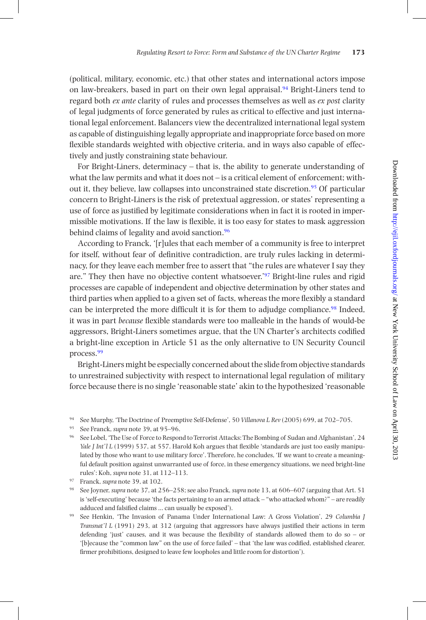(political, military, economic, etc.) that other states and international actors impose on law-breakers, based in part on their own legal appraisal. $94$  Bright-Liners tend to regard both *ex ante* clarity of rules and processes themselves as well as *ex post* clarity of legal judgments of force generated by rules as critical to effective and just international legal enforcement. Balancers view the decentralized international legal system as capable of distinguishing legally appropriate and inappropriate force based on more flexible standards weighted with objective criteria, and in ways also capable of effectively and justly constraining state behaviour.

For Bright-Liners, determinacy – that is, the ability to generate understanding of what the law permits and what it does not – is a critical element of enforcement; without it, they believe, law collapses into unconstrained state discretion.<sup>95</sup> Of particular concern to Bright-Liners is the risk of pretextual aggression, or states' representing a use of force as justified by legitimate considerations when in fact it is rooted in impermissible motivations. If the law is flexible, it is too easy for states to mask aggression behind claims of legality and avoid sanction.<sup>[96](#page-23-2)</sup>

According to Franck, '[r]ules that each member of a community is free to interpret for itself, without fear of definitive contradiction, are truly rules lacking in determinacy, for they leave each member free to assert that "the rules are whatever I say they are." They then have no objective content whatsoever.['97](#page-23-3) Bright-line rules and rigid processes are capable of independent and objective determination by other states and third parties when applied to a given set of facts, whereas the more flexibly a standard can be interpreted the more difficult it is for them to adjudge compliance[.98](#page-23-4) Indeed, it was in part *because* flexible standards were too malleable in the hands of would-be aggressors, Bright-Liners sometimes argue, that the UN Charter's architects codified a bright-line exception in Article 51 as the only alternative to UN Security Council process.[99](#page-23-5)

Bright-Liners might be especially concerned about the slide from objective standards to unrestrained subjectivity with respect to international legal regulation of military force because there is no single 'reasonable state' akin to the hypothesized 'reasonable

<span id="page-23-0"></span><sup>94</sup> See Murphy, 'The Doctrine of Preemptive Self-Defense', 50 *Villanova L Rev* (2005) 699, at 702–705.

<span id="page-23-1"></span><sup>95</sup> See Franck, *supra* note 39, at 95–96.

<span id="page-23-2"></span><sup>96</sup> See Lobel, 'The Use of Force to Respond to Terrorist Attacks: The Bombing of Sudan and Afghanistan', 24 *Yale J Int'l L* (1999) 537, at 557. Harold Koh argues that flexible 'standards are just too easily manipulated by those who want to use military force'. Therefore, he concludes, 'If we want to create a meaningful default position against unwarranted use of force, in these emergency situations, we need bright-line rules': Koh, *supra* note 31, at 112–113.

<span id="page-23-3"></span><sup>97</sup> Franck, *supra* note 39, at 102.

<span id="page-23-4"></span><sup>98</sup> See Joyner, *supra* note 37, at 256–258; see also Franck, *supra* note 13, at 606–607 (arguing that Art. 51 is 'self-executing' because 'the facts pertaining to an armed attack – "who attacked whom?" – are readily adduced and falsified claims … can usually be exposed').

<span id="page-23-5"></span><sup>99</sup> See Henkin, 'The Invasion of Panama Under International Law: A Gross Violation', 29 *Columbia J Transnat'l L* (1991) 293, at 312 (arguing that aggressors have always justified their actions in term defending 'just' causes, and it was because the flexibility of standards allowed them to do so – or '[b]ecause the "common law" on the use of force failed' – that 'the law was codified, established clearer, firmer prohibitions, designed to leave few loopholes and little room for distortion').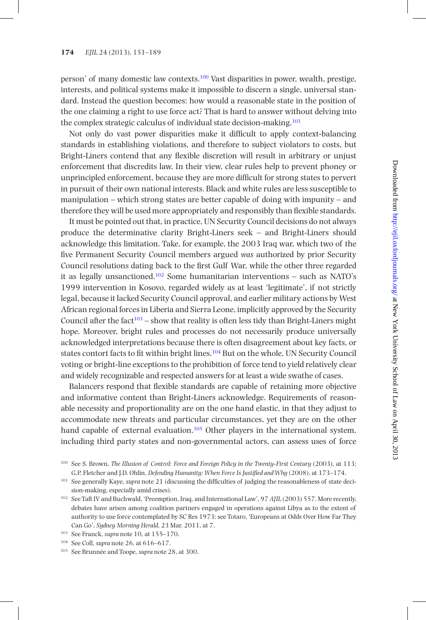person' of many domestic law contexts[.100](#page-24-0) Vast disparities in power, wealth, prestige, interests, and political systems make it impossible to discern a single, universal standard. Instead the question becomes: how would a reasonable state in the position of the one claiming a right to use force act? That is hard to answer without delving into the complex strategic calculus of individual state decision-making[.101](#page-24-1)

Not only do vast power disparities make it difficult to apply context-balancing standards in establishing violations, and therefore to subject violators to costs, but Bright-Liners contend that any flexible discretion will result in arbitrary or unjust enforcement that discredits law. In their view, clear rules help to prevent phoney or unprincipled enforcement, because they are more difficult for strong states to pervert in pursuit of their own national interests. Black and white rules are less susceptible to manipulation – which strong states are better capable of doing with impunity – and therefore they will be used more appropriately and responsibly than flexible standards.

It must be pointed out that, in practice, UN Security Council decisions do not always produce the determinative clarity Bright-Liners seek – and Bright-Liners should acknowledge this limitation. Take, for example, the 2003 Iraq war, which two of the five Permanent Security Council members argued *was* authorized by prior Security Council resolutions dating back to the first Gulf War, while the other three regarded it as legally unsanctioned.<sup>102</sup> Some humanitarian interventions – such as NATO's 1999 intervention in Kosovo, regarded widely as at least 'legitimate', if not strictly legal, because it lacked Security Council approval, and earlier military actions by West African regional forces in Liberia and Sierra Leone, implicitly approved by the Security Council after the fact<sup>103</sup> – show that reality is often less tidy than Bright-Liners might hope. Moreover, bright rules and processes do not necessarily produce universally acknowledged interpretations because there is often disagreement about key facts, or states contort facts to fit within bright lines.[104](#page-24-4) But on the whole, UN Security Council voting or bright-line exceptions to the prohibition of force tend to yield relatively clear and widely recognizable and respected answers for at least a wide swathe of cases.

Balancers respond that flexible standards are capable of retaining more objective and informative content than Bright-Liners acknowledge. Requirements of reasonable necessity and proportionality are on the one hand elastic, in that they adjust to accommodate new threats and particular circumstances, yet they are on the other hand capable of external evaluation.<sup>105</sup> Other players in the international system, including third party states and non-governmental actors, can assess uses of force

<span id="page-24-0"></span><sup>100</sup> See S. Brown, *The Illusion of Control: Force and Foreign Policy in the Twenty-First Century* (2003), at 113; G.P. Fletcher and J.D. Ohlin, *Defending Humanity: When Force Is Justified and Why* (2008), at 173–174.

<span id="page-24-1"></span><sup>&</sup>lt;sup>101</sup> See generally Kaye, *supra* note 21 (discussing the difficulties of judging the reasonableness of state decision-making, especially amid crises).

<span id="page-24-2"></span><sup>102</sup> See Taft IV and Buchwald, 'Preemption, Iraq, and International Law', 97 *AJIL* (2003) 557. More recently, debates have arisen among coalition partners engaged in operations against Libya as to the extent of authority to use force contemplated by SC Res 1973: see Totaro, 'Europeans at Odds Over How Far They Can Go', *Sydney Morning Herald*, 23 Mar. 2011, at 7.

<span id="page-24-3"></span><sup>103</sup> See Franck, *supra* note 10, at 155–170.

<span id="page-24-4"></span><sup>104</sup> See Coll, *supra* note 26, at 616–617.

<span id="page-24-5"></span><sup>105</sup> See Brunnée and Toope, *supra* note 28, at 300.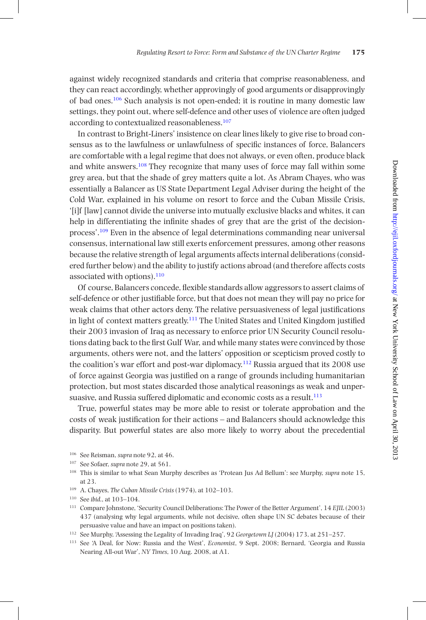against widely recognized standards and criteria that comprise reasonableness, and they can react accordingly, whether approvingly of good arguments or disapprovingly of bad ones.[106](#page-25-0) Such analysis is not open-ended; it is routine in many domestic law settings, they point out, where self-defence and other uses of violence are often judged according to contextualized reasonableness.<sup>107</sup>

In contrast to Bright-Liners' insistence on clear lines likely to give rise to broad consensus as to the lawfulness or unlawfulness of specific instances of force, Balancers are comfortable with a legal regime that does not always, or even often, produce black and white answers.[108](#page-25-2) They recognize that many uses of force may fall within some grey area, but that the shade of grey matters quite a lot. As Abram Chayes, who was essentially a Balancer as US State Department Legal Adviser during the height of the Cold War, explained in his volume on resort to force and the Cuban Missile Crisis, '[i]f [law] cannot divide the universe into mutually exclusive blacks and whites, it can help in differentiating the infinite shades of grey that are the grist of the decisionprocess'[.109](#page-25-3) Even in the absence of legal determinations commanding near universal consensus, international law still exerts enforcement pressures, among other reasons because the relative strength of legal arguments affects internal deliberations (considered further below) and the ability to justify actions abroad (and therefore affects costs associated with options).[110](#page-25-4)

Of course, Balancers concede, flexible standards allow aggressors to assert claims of self-defence or other justifiable force, but that does not mean they will pay no price for weak claims that other actors deny. The relative persuasiveness of legal justifications in light of context matters greatly.[111](#page-25-5) The United States and United Kingdom justified their 2003 invasion of Iraq as necessary to enforce prior UN Security Council resolutions dating back to the first Gulf War, and while many states were convinced by those arguments, others were not, and the latters' opposition or scepticism proved costly to the coalition's war effort and post-war diplomacy.<sup>112</sup> Russia argued that its 2008 use of force against Georgia was justified on a range of grounds including humanitarian protection, but most states discarded those analytical reasonings as weak and unpersuasive, and Russia suffered diplomatic and economic costs as a result.<sup>113</sup>

True, powerful states may be more able to resist or tolerate approbation and the costs of weak justification for their actions – and Balancers should acknowledge this disparity. But powerful states are also more likely to worry about the precedential

<span id="page-25-0"></span><sup>106</sup> See Reisman, *supra* note 92, at 46.

<span id="page-25-1"></span><sup>107</sup> See Sofaer, *supra* note 29, at 561.

<span id="page-25-2"></span><sup>108</sup> This is similar to what Sean Murphy describes as 'Protean Jus Ad Bellum': see Murphy, *supra* note 15, at 23.

<span id="page-25-3"></span><sup>109</sup> A. Chayes, *The Cuban Missile Crisis* (1974), at 102–103.

<span id="page-25-4"></span><sup>110</sup> See *ibid*., at 103–104.

<span id="page-25-5"></span><sup>111</sup> Compare Johnstone, 'Security Council Deliberations: The Power of the Better Argument', 14 *EJIL* (2003) 437 (analysing why legal arguments, while not decisive, often shape UN SC debates because of their persuasive value and have an impact on positions taken).

<span id="page-25-6"></span><sup>112</sup> See Murphy, 'Assessing the Legality of Invading Iraq', 92 *Georgetown LJ* (2004) 173, at 251–257.

<span id="page-25-7"></span><sup>113</sup> See 'A Deal, for Now: Russia and the West', *Economist*, 9 Sept. 2008; Bernard, 'Georgia and Russia Nearing All-out War', *NY Times*, 10 Aug. 2008, at A1.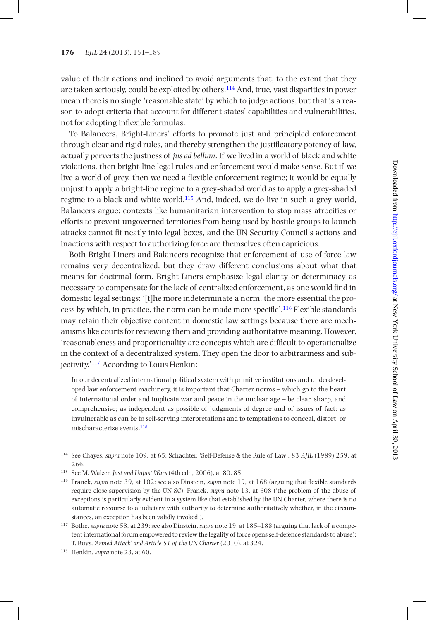value of their actions and inclined to avoid arguments that, to the extent that they are taken seriously, could be exploited by others[.114](#page-26-0) And, true, vast disparities in power mean there is no single 'reasonable state' by which to judge actions, but that is a reason to adopt criteria that account for different states' capabilities and vulnerabilities, not for adopting inflexible formulas.

To Balancers, Bright-Liners' efforts to promote just and principled enforcement through clear and rigid rules, and thereby strengthen the justificatory potency of law, actually perverts the justness of *jus ad bellum*. If we lived in a world of black and white violations, then bright-line legal rules and enforcement would make sense. But if we live a world of grey, then we need a flexible enforcement regime; it would be equally unjust to apply a bright-line regime to a grey-shaded world as to apply a grey-shaded regime to a black and white world. $115$  And, indeed, we do live in such a grey world, Balancers argue: contexts like humanitarian intervention to stop mass atrocities or efforts to prevent ungoverned territories from being used by hostile groups to launch attacks cannot fit neatly into legal boxes, and the UN Security Council's actions and inactions with respect to authorizing force are themselves often capricious.

Both Bright-Liners and Balancers recognize that enforcement of use-of-force law remains very decentralized, but they draw different conclusions about what that means for doctrinal form. Bright-Liners emphasize legal clarity or determinacy as necessary to compensate for the lack of centralized enforcement, as one would find in domestic legal settings: '[t]he more indeterminate a norm, the more essential the process by which, in practice, the norm can be made more specific'.[116](#page-26-2) Flexible standards may retain their objective content in domestic law settings because there are mechanisms like courts for reviewing them and providing authoritative meaning. However, 'reasonableness and proportionality are concepts which are difficult to operationalize in the context of a decentralized system. They open the door to arbitrariness and subjectivity.['117](#page-26-3) According to Louis Henkin:

In our decentralized international political system with primitive institutions and underdeveloped law enforcement machinery, it is important that Charter norms – which go to the heart of international order and implicate war and peace in the nuclear age – be clear, sharp, and comprehensive; as independent as possible of judgments of degree and of issues of fact; as invulnerable as can be to self-serving interpretations and to temptations to conceal, distort, or mischaracterize events[.118](#page-26-4)

<span id="page-26-0"></span><sup>114</sup> See Chayes, *supra* note 109, at 65; Schachter, 'Self-Defense & the Rule of Law', 83 *AJIL* (1989) 259, at 266.

<span id="page-26-1"></span><sup>115</sup> See M. Walzer, *Just and Unjust Wars* (4th edn, 2006), at 80, 85.

<span id="page-26-2"></span><sup>116</sup> Franck, *supra* note 39, at 102; see also Dinstein, *supra* note 19, at 168 (arguing that flexible standards require close supervision by the UN SC); Franck, *supra* note 13, at 608 ('the problem of the abuse of exceptions is particularly evident in a system like that established by the UN Charter, where there is no automatic recourse to a judiciary with authority to determine authoritatively whether, in the circumstances, an exception has been validly invoked').

<span id="page-26-3"></span><sup>117</sup> Bothe*, supra* note 58, at 239; see also Dinstein, *supra* note 19, at 185–188 (arguing that lack of a competent international forum empowered to review the legality of force opens self-defence standards to abuse); T. Ruys, *'Armed Attack' and Article 51 of the UN Charter* (2010), at 324.

<span id="page-26-4"></span><sup>118</sup> Henkin, *supra* note 23, at 60.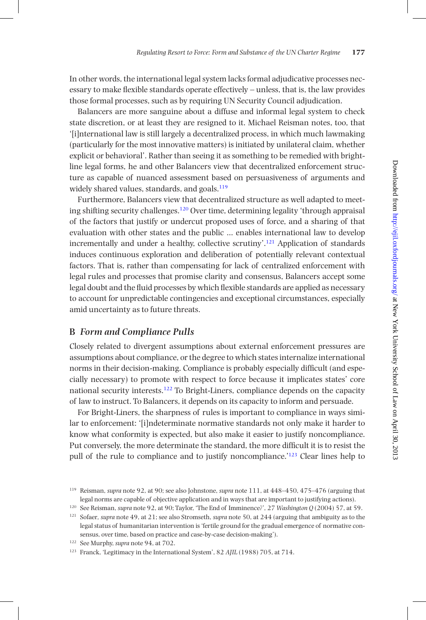In other words, the international legal system lacks formal adjudicative processes necessary to make flexible standards operate effectively – unless, that is, the law provides those formal processes, such as by requiring UN Security Council adjudication.

Balancers are more sanguine about a diffuse and informal legal system to check state discretion, or at least they are resigned to it. Michael Reisman notes, too, that '[i]nternational law is still largely a decentralized process, in which much lawmaking (particularly for the most innovative matters) is initiated by unilateral claim, whether explicit or behavioral'. Rather than seeing it as something to be remedied with brightline legal forms, he and other Balancers view that decentralized enforcement structure as capable of nuanced assessment based on persuasiveness of arguments and widely shared values, standards, and goals.<sup>119</sup>

Furthermore, Balancers view that decentralized structure as well adapted to meeting shifting security challenges[.120](#page-27-1) Over time, determining legality 'through appraisal of the factors that justify or undercut proposed uses of force, and a sharing of that evaluation with other states and the public … enables international law to develop incrementally and under a healthy, collective scrutiny'[.121](#page-27-2) Application of standards induces continuous exploration and deliberation of potentially relevant contextual factors. That is, rather than compensating for lack of centralized enforcement with legal rules and processes that promise clarity and consensus, Balancers accept some legal doubt and the fluid processes by which flexible standards are applied as necessary to account for unpredictable contingencies and exceptional circumstances, especially amid uncertainty as to future threats.

#### **B** *Form and Compliance Pulls*

Closely related to divergent assumptions about external enforcement pressures are assumptions about compliance, or the degree to which states internalize international norms in their decision-making. Compliance is probably especially difficult (and especially necessary) to promote with respect to force because it implicates states' core national security interests[.122](#page-27-3) To Bright-Liners, compliance depends on the capacity of law to instruct. To Balancers, it depends on its capacity to inform and persuade.

For Bright-Liners, the sharpness of rules is important to compliance in ways similar to enforcement: '[i]ndeterminate normative standards not only make it harder to know what conformity is expected, but also make it easier to justify noncompliance. Put conversely, the more determinate the standard, the more difficult it is to resist the pull of the rule to compliance and to justify noncompliance.'[123](#page-27-4) Clear lines help to

<span id="page-27-0"></span><sup>119</sup> Reisman, *supra* note 92, at 90; see also Johnstone, *supra* note 111, at 448–450, 475–476 (arguing that legal norms are capable of objective application and in ways that are important to justifying actions).

<span id="page-27-1"></span><sup>120</sup> See Reisman, *supra* note 92, at 90; Taylor, 'The End of Imminence?', 27 *Washington Q* (2004) 57, at 59.

<span id="page-27-2"></span><sup>121</sup> Sofaer*, supra* note 49, at 21; see also Stromseth, *supra* note 50, at 244 (arguing that ambiguity as to the legal status of humanitarian intervention is 'fertile ground for the gradual emergence of normative consensus, over time, based on practice and case-by-case decision-making').

<span id="page-27-3"></span><sup>122</sup> See Murphy, *supra* note 94, at 702.

<span id="page-27-4"></span><sup>123</sup> Franck, 'Legitimacy in the International System', 82 *AJIL* (1988) 705, at 714.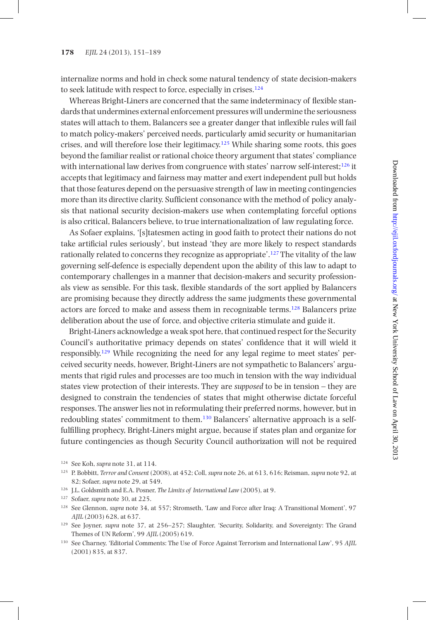internalize norms and hold in check some natural tendency of state decision-makers to seek latitude with respect to force, especially in crises.<sup>124</sup>

Whereas Bright-Liners are concerned that the same indeterminacy of flexible standards that undermines external enforcement pressures will undermine the seriousness states will attach to them, Balancers see a greater danger that inflexible rules will fail to match policy-makers' perceived needs, particularly amid security or humanitarian crises, and will therefore lose their legitimacy.<sup>125</sup> While sharing some roots, this goes beyond the familiar realist or rational choice theory argument that states' compliance with international law derives from congruence with states' narrow self-interest;<sup>126</sup> it accepts that legitimacy and fairness may matter and exert independent pull but holds that those features depend on the persuasive strength of law in meeting contingencies more than its directive clarity. Sufficient consonance with the method of policy analysis that national security decision-makers use when contemplating forceful options is also critical, Balancers believe, to true internationalization of law regulating force.

As Sofaer explains, '[s]tatesmen acting in good faith to protect their nations do not take artificial rules seriously', but instead 'they are more likely to respect standards rationally related to concerns they recognize as appropriate'[.127](#page-28-3) The vitality of the law governing self-defence is especially dependent upon the ability of this law to adapt to contemporary challenges in a manner that decision-makers and security professionals view as sensible. For this task, flexible standards of the sort applied by Balancers are promising because they directly address the same judgments these governmental actors are forced to make and assess them in recognizable terms[.128](#page-28-4) Balancers prize deliberation about the use of force, and objective criteria stimulate and guide it.

Bright-Liners acknowledge a weak spot here, that continued respect for the Security Council's authoritative primacy depends on states' confidence that it will wield it responsibly[.129](#page-28-5) While recognizing the need for any legal regime to meet states' perceived security needs, however, Bright-Liners are not sympathetic to Balancers' arguments that rigid rules and processes are too much in tension with the way individual states view protection of their interests. They are *supposed* to be in tension – they are designed to constrain the tendencies of states that might otherwise dictate forceful responses. The answer lies not in reformulating their preferred norms, however, but in redoubling states' commitment to them[.130](#page-28-6) Balancers' alternative approach is a selffulfilling prophecy, Bright-Liners might argue, because if states plan and organize for future contingencies as though Security Council authorization will not be required

<span id="page-28-0"></span><sup>124</sup> See Koh, *supra* note 31, at 114.

<span id="page-28-1"></span><sup>125</sup> P. Bobbitt, *Terror and Consent* (2008), at 452; Coll, *supra* note 26, at 613, 616; Reisman, *supra* note 92, at 82; Sofaer, *supra* note 29, at 549.

<span id="page-28-2"></span><sup>126</sup> J.L. Goldsmith and E.A. Posner, *The Limits of International Law* (2005), at 9.

<span id="page-28-3"></span><sup>127</sup> Sofaer, *supra* note 30, at 225.

<span id="page-28-4"></span><sup>128</sup> See Glennon, *supra* note 34, at 557; Stromseth, 'Law and Force after Iraq: A Transitional Moment', 97 *AJIL* (2003) 628, at 637.

<span id="page-28-5"></span><sup>129</sup> See Joyner, *supra* note 37, at 256–257; Slaughter, 'Security, Solidarity, and Sovereignty: The Grand Themes of UN Reform', 99 *AJIL* (2005) 619.

<span id="page-28-6"></span><sup>130</sup> See Charney, 'Editorial Comments: The Use of Force Against Terrorism and International Law', 95 *AJIL* (2001) 835, at 837.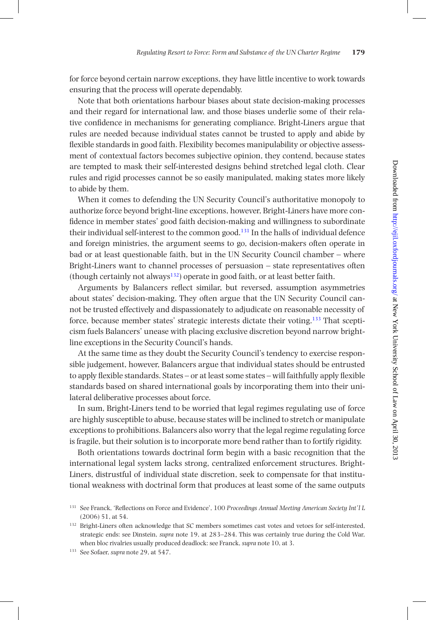for force beyond certain narrow exceptions, they have little incentive to work towards ensuring that the process will operate dependably.

Note that both orientations harbour biases about state decision-making processes and their regard for international law, and those biases underlie some of their relative confidence in mechanisms for generating compliance. Bright-Liners argue that rules are needed because individual states cannot be trusted to apply and abide by flexible standards in good faith. Flexibility becomes manipulability or objective assessment of contextual factors becomes subjective opinion, they contend, because states are tempted to mask their self-interested designs behind stretched legal cloth. Clear rules and rigid processes cannot be so easily manipulated, making states more likely to abide by them.

When it comes to defending the UN Security Council's authoritative monopoly to authorize force beyond bright-line exceptions, however, Bright-Liners have more confidence in member states' good faith decision-making and willingness to subordinate their individual self-interest to the common good. $131$  In the halls of individual defence and foreign ministries, the argument seems to go, decision-makers often operate in bad or at least questionable faith, but in the UN Security Council chamber – where Bright-Liners want to channel processes of persuasion – state representatives often (though certainly not always<sup>132</sup>) operate in good faith, or at least better faith.

Arguments by Balancers reflect similar, but reversed, assumption asymmetries about states' decision-making. They often argue that the UN Security Council cannot be trusted effectively and dispassionately to adjudicate on reasonable necessity of force, because member states' strategic interests dictate their voting.[133](#page-29-2) That scepticism fuels Balancers' unease with placing exclusive discretion beyond narrow brightline exceptions in the Security Council's hands.

At the same time as they doubt the Security Council's tendency to exercise responsible judgement, however, Balancers argue that individual states should be entrusted to apply flexible standards. States – or at least some states – will faithfully apply flexible standards based on shared international goals by incorporating them into their unilateral deliberative processes about force.

In sum, Bright-Liners tend to be worried that legal regimes regulating use of force are highly susceptible to abuse, because states will be inclined to stretch or manipulate exceptions to prohibitions. Balancers also worry that the legal regime regulating force is fragile, but their solution is to incorporate more bend rather than to fortify rigidity.

Both orientations towards doctrinal form begin with a basic recognition that the international legal system lacks strong, centralized enforcement structures. Bright-Liners, distrustful of individual state discretion, seek to compensate for that institutional weakness with doctrinal form that produces at least some of the same outputs

<span id="page-29-0"></span><sup>131</sup> See Franck, 'Reflections on Force and Evidence', 100 *Proceedings Annual Meeting American Society Int'l L* (2006) 51, at 54.

<span id="page-29-1"></span><sup>&</sup>lt;sup>132</sup> Bright-Liners often acknowledge that SC members sometimes cast votes and vetoes for self-interested, strategic ends: see Dinstein, *supra* note 19, at 283–284. This was certainly true during the Cold War, when bloc rivalries usually produced deadlock: see Franck, *supra* note 10, at 3.

<span id="page-29-2"></span><sup>133</sup> See Sofaer, *supra* note 29, at 547.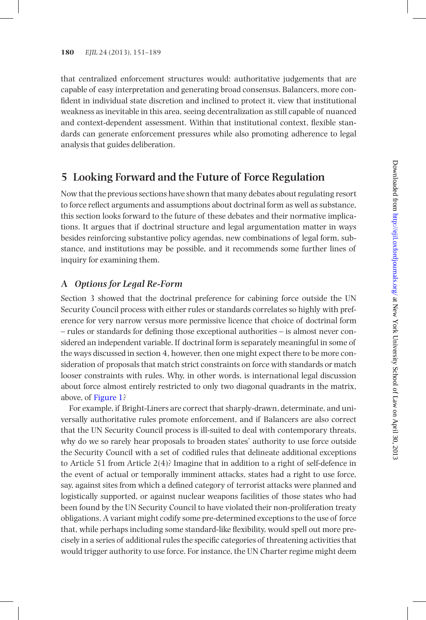that centralized enforcement structures would: authoritative judgements that are capable of easy interpretation and generating broad consensus. Balancers, more confident in individual state discretion and inclined to protect it, view that institutional weakness as inevitable in this area, seeing decentralization as still capable of nuanced and context-dependent assessment. Within that institutional context, flexible standards can generate enforcement pressures while also promoting adherence to legal analysis that guides deliberation.

## **5 Looking Forward and the Future of Force Regulation**

Now that the previous sections have shown that many debates about regulating resort to force reflect arguments and assumptions about doctrinal form as well as substance, this section looks forward to the future of these debates and their normative implications. It argues that if doctrinal structure and legal argumentation matter in ways besides reinforcing substantive policy agendas, new combinations of legal form, substance, and institutions may be possible, and it recommends some further lines of inquiry for examining them.

### **A** *Options for Legal Re-Form*

Section 3 showed that the doctrinal preference for cabining force outside the UN Security Council process with either rules or standards correlates so highly with preference for very narrow versus more permissive licence that choice of doctrinal form – rules or standards for defining those exceptional authorities – is almost never considered an independent variable. If doctrinal form is separately meaningful in some of the ways discussed in section 4, however, then one might expect there to be more consideration of proposals that match strict constraints on force with standards or match looser constraints with rules. Why, in other words, is international legal discussion about force almost entirely restricted to only two diagonal quadrants in the matrix, above, of [Figure 1?](#page-22-0)

For example, if Bright-Liners are correct that sharply-drawn, determinate, and universally authoritative rules promote enforcement, and if Balancers are also correct that the UN Security Council process is ill-suited to deal with contemporary threats, why do we so rarely hear proposals to broaden states' authority to use force outside the Security Council with a set of codified rules that delineate additional exceptions to Article 51 from Article  $2(4)$ ? Imagine that in addition to a right of self-defence in the event of actual or temporally imminent attacks, states had a right to use force, say, against sites from which a defined category of terrorist attacks were planned and logistically supported, or against nuclear weapons facilities of those states who had been found by the UN Security Council to have violated their non-proliferation treaty obligations. A variant might codify some pre-determined exceptions to the use of force that, while perhaps including some standard-like flexibility, would spell out more precisely in a series of additional rules the specific categories of threatening activities that would trigger authority to use force. For instance, the UN Charter regime might deem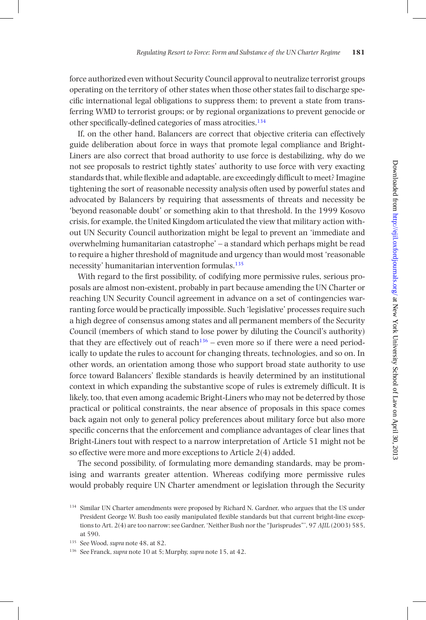force authorized even without Security Council approval to neutralize terrorist groups operating on the territory of other states when those other states fail to discharge specific international legal obligations to suppress them; to prevent a state from transferring WMD to terrorist groups; or by regional organizations to prevent genocide or other specifically-defined categories of mass atrocities[.134](#page-31-0)

If, on the other hand, Balancers are correct that objective criteria can effectively guide deliberation about force in ways that promote legal compliance and Bright-Liners are also correct that broad authority to use force is destabilizing, why do we not see proposals to restrict tightly states' authority to use force with very exacting standards that, while flexible and adaptable, are exceedingly difficult to meet? Imagine tightening the sort of reasonable necessity analysis often used by powerful states and advocated by Balancers by requiring that assessments of threats and necessity be 'beyond reasonable doubt' or something akin to that threshold. In the 1999 Kosovo crisis, for example, the United Kingdom articulated the view that military action without UN Security Council authorization might be legal to prevent an 'immediate and overwhelming humanitarian catastrophe' – a standard which perhaps might be read to require a higher threshold of magnitude and urgency than would most 'reasonable necessity' humanitarian intervention formulas.<sup>135</sup>

With regard to the first possibility, of codifying more permissive rules, serious proposals are almost non-existent, probably in part because amending the UN Charter or reaching UN Security Council agreement in advance on a set of contingencies warranting force would be practically impossible. Such 'legislative' processes require such a high degree of consensus among states and all permanent members of the Security Council (members of which stand to lose power by diluting the Council's authority) that they are effectively out of reach<sup>[136](#page-31-2)</sup> – even more so if there were a need periodically to update the rules to account for changing threats, technologies, and so on. In other words, an orientation among those who support broad state authority to use force toward Balancers' flexible standards is heavily determined by an institutional context in which expanding the substantive scope of rules is extremely difficult. It is likely, too, that even among academic Bright-Liners who may not be deterred by those practical or political constraints, the near absence of proposals in this space comes back again not only to general policy preferences about military force but also more specific concerns that the enforcement and compliance advantages of clear lines that Bright-Liners tout with respect to a narrow interpretation of Article 51 might not be so effective were more and more exceptions to Article 2(4) added.

The second possibility, of formulating more demanding standards, may be promising and warrants greater attention. Whereas codifying more permissive rules would probably require UN Charter amendment or legislation through the Security

<span id="page-31-0"></span><sup>&</sup>lt;sup>134</sup> Similar UN Charter amendments were proposed by Richard N. Gardner, who argues that the US under President George W. Bush too easily manipulated flexible standards but that current bright-line exceptions to Art. 2(4) are too narrow: see Gardner, 'Neither Bush nor the "Jurisprudes"', 97 *AJIL* (2003) 585, at 590.

<span id="page-31-1"></span><sup>135</sup> See Wood, *supra* note 48, at 82.

<span id="page-31-2"></span><sup>136</sup> See Franck, *supra* note 10 at 5; Murphy, *supra* note 15, at 42.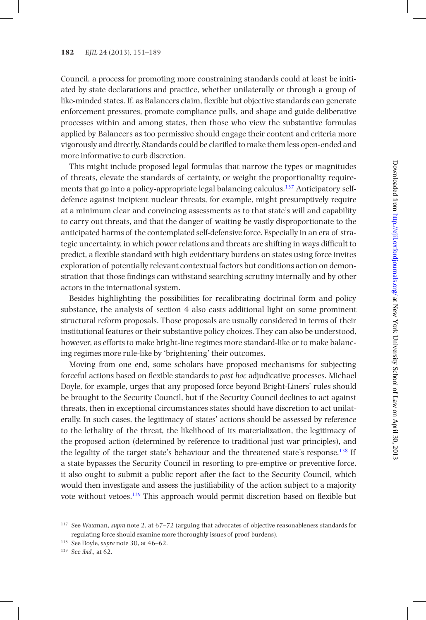Council, a process for promoting more constraining standards could at least be initiated by state declarations and practice, whether unilaterally or through a group of like-minded states. If, as Balancers claim, flexible but objective standards can generate enforcement pressures, promote compliance pulls, and shape and guide deliberative processes within and among states, then those who view the substantive formulas applied by Balancers as too permissive should engage their content and criteria more vigorously and directly. Standards could be clarified to make them less open-ended and more informative to curb discretion.

This might include proposed legal formulas that narrow the types or magnitudes of threats, elevate the standards of certainty, or weight the proportionality requirements that go into a policy-appropriate legal balancing calculus[.137](#page-32-0) Anticipatory selfdefence against incipient nuclear threats, for example, might presumptively require at a minimum clear and convincing assessments as to that state's will and capability to carry out threats, and that the danger of waiting be vastly disproportionate to the anticipated harms of the contemplated self-defensive force. Especially in an era of strategic uncertainty, in which power relations and threats are shifting in ways difficult to predict, a flexible standard with high evidentiary burdens on states using force invites exploration of potentially relevant contextual factors but conditions action on demonstration that those findings can withstand searching scrutiny internally and by other actors in the international system.

Besides highlighting the possibilities for recalibrating doctrinal form and policy substance, the analysis of section 4 also casts additional light on some prominent structural reform proposals. Those proposals are usually considered in terms of their institutional features or their substantive policy choices. They can also be understood, however, as efforts to make bright-line regimes more standard-like or to make balancing regimes more rule-like by 'brightening' their outcomes.

Moving from one end, some scholars have proposed mechanisms for subjecting forceful actions based on flexible standards to *post hoc* adjudicative processes. Michael Doyle, for example, urges that any proposed force beyond Bright-Liners' rules should be brought to the Security Council, but if the Security Council declines to act against threats, then in exceptional circumstances states should have discretion to act unilaterally. In such cases, the legitimacy of states' actions should be assessed by reference to the lethality of the threat, the likelihood of its materialization, the legitimacy of the proposed action (determined by reference to traditional just war principles), and the legality of the target state's behaviour and the threatened state's response[.138](#page-32-1) If a state bypasses the Security Council in resorting to pre-emptive or preventive force, it also ought to submit a public report after the fact to the Security Council, which would then investigate and assess the justifiability of the action subject to a majority vote without vetoes[.139](#page-32-2) This approach would permit discretion based on flexible but

<span id="page-32-0"></span><sup>137</sup> See Waxman, *supra* note 2, at 67–72 (arguing that advocates of objective reasonableness standards for regulating force should examine more thoroughly issues of proof burdens).

<span id="page-32-1"></span><sup>138</sup> See Doyle, *supra* note 30, at 46–62.

<span id="page-32-2"></span><sup>139</sup> See *ibid.,* at 62.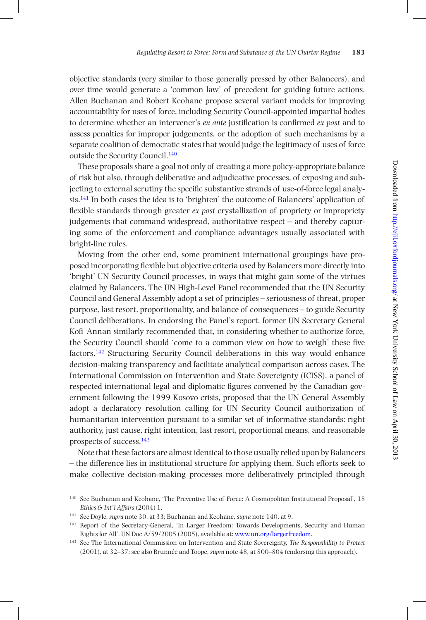objective standards (very similar to those generally pressed by other Balancers), and over time would generate a 'common law' of precedent for guiding future actions. Allen Buchanan and Robert Keohane propose several variant models for improving accountability for uses of force, including Security Council-appointed impartial bodies to determine whether an intervener's *ex ante* justification is confirmed *ex post* and to assess penalties for improper judgements, or the adoption of such mechanisms by a separate coalition of democratic states that would judge the legitimacy of uses of force outside the Security Council[.140](#page-33-0)

These proposals share a goal not only of creating a more policy-appropriate balance of risk but also, through deliberative and adjudicative processes, of exposing and subjecting to external scrutiny the specific substantive strands of use-of-force legal analy $s$ is.<sup>141</sup> In both cases the idea is to 'brighten' the outcome of Balancers' application of flexible standards through greater *ex post* crystallization of propriety or impropriety judgements that command widespread, authoritative respect – and thereby capturing some of the enforcement and compliance advantages usually associated with bright-line rules.

Moving from the other end, some prominent international groupings have proposed incorporating flexible but objective criteria used by Balancers more directly into 'bright' UN Security Council processes, in ways that might gain some of the virtues claimed by Balancers. The UN High-Level Panel recommended that the UN Security Council and General Assembly adopt a set of principles – seriousness of threat, proper purpose, last resort, proportionality, and balance of consequences – to guide Security Council deliberations. In endorsing the Panel's report, former UN Secretary General Kofi Annan similarly recommended that, in considering whether to authorize force, the Security Council should 'come to a common view on how to weigh' these five factors.[142](#page-33-2) Structuring Security Council deliberations in this way would enhance decision-making transparency and facilitate analytical comparison across cases. The International Commission on Intervention and State Sovereignty (ICISS), a panel of respected international legal and diplomatic figures convened by the Canadian government following the 1999 Kosovo crisis, proposed that the UN General Assembly adopt a declaratory resolution calling for UN Security Council authorization of humanitarian intervention pursuant to a similar set of informative standards: right authority, just cause, right intention, last resort, proportional means, and reasonable prospects of success[.143](#page-33-3)

Note that these factors are almost identical to those usually relied upon by Balancers – the difference lies in institutional structure for applying them. Such efforts seek to make collective decision-making processes more deliberatively principled through

<span id="page-33-0"></span><sup>140</sup> See Buchanan and Keohane, 'The Preventive Use of Force: A Cosmopolitan Institutional Proposal', 18 *Ethics & Int'l Affairs* (2004) 1.

<span id="page-33-1"></span><sup>141</sup> See Doyle, *supra* note 30, at 33; Buchanan and Keohane, *supra* note 140, at 9.

<span id="page-33-2"></span><sup>&</sup>lt;sup>142</sup> Report of the Secretary-General, 'In Larger Freedom: Towards Developments, Security and Human Rights for All', UN Doc A/59/2005 (2005), available at: [www.un.org/largerfreedom](http://www.un.org/largerfreedom).

<span id="page-33-3"></span><sup>143</sup> See The International Commission on Intervention and State Sovereignty, *The Responsibility to Protect* (2001), at 32–37; see also Brunnée and Toope, *supra* note 48, at 800–804 (endorsing this approach).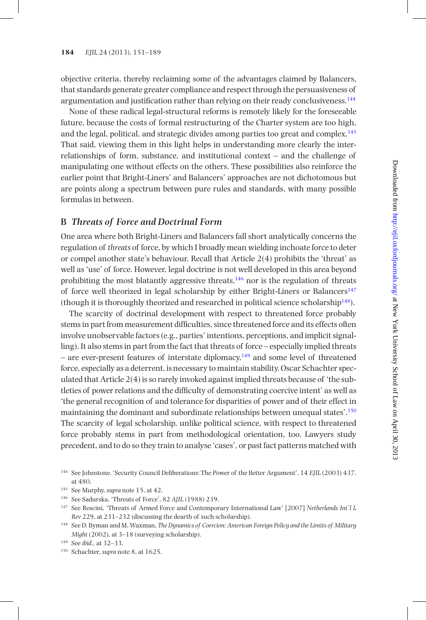objective criteria, thereby reclaiming some of the advantages claimed by Balancers, that standards generate greater compliance and respect through the persuasiveness of argumentation and justification rather than relying on their ready conclusiveness[.144](#page-34-0)

None of these radical legal-structural reforms is remotely likely for the foreseeable future, because the costs of formal restructuring of the Charter system are too high, and the legal, political, and strategic divides among parties too great and complex.<sup>145</sup> That said, viewing them in this light helps in understanding more clearly the interrelationships of form, substance, and institutional context – and the challenge of manipulating one without effects on the others. These possibilities also reinforce the earlier point that Bright-Liners' and Balancers' approaches are not dichotomous but are points along a spectrum between pure rules and standards, with many possible formulas in between.

#### **B** *Threats of Force and Doctrinal Form*

One area where both Bright-Liners and Balancers fall short analytically concerns the regulation of *threats* of force, by which I broadly mean wielding inchoate force to deter or compel another state's behaviour. Recall that Article 2(4) prohibits the 'threat' as well as 'use' of force. However, legal doctrine is not well developed in this area beyond prohibiting the most blatantly aggressive threats,<sup>146</sup> nor is the regulation of threats of force well theorized in legal scholarship by either Bright-Liners or Balancer[s147](#page-34-3) (though it is thoroughly theorized and researched in political science scholarship<sup>148</sup>).

The scarcity of doctrinal development with respect to threatened force probably stems in part from measurement difficulties, since threatened force and its effects often involve unobservable factors (e.g., parties' intentions, perceptions, and implicit signalling). It also stems in part from the fact that threats of force – especially implied threats – are ever-present features of interstate diplomacy,<sup>149</sup> and some level of threatened force, especially as a deterrent, is necessary to maintain stability. Oscar Schachter speculated that Article 2(4) is so rarely invoked against implied threats because of 'the subtleties of power relations and the difficulty of demonstrating coercive intent' as well as 'the general recognition of and tolerance for disparities of power and of their effect in maintaining the dominant and subordinate relationships between unequal states'[.150](#page-34-6) The scarcity of legal scholarship, unlike political science, with respect to threatened force probably stems in part from methodological orientation, too. Lawyers study precedent, and to do so they train to analyse 'cases', or past fact patterns matched with

<span id="page-34-0"></span><sup>144</sup> See Johnstone, 'Security Council Deliberations: The Power of the Better Argument', 14 *EJIL* (2003) 437, at 480.

<span id="page-34-1"></span><sup>145</sup> See Murphy, *supra* note 15, at 42.

<span id="page-34-2"></span><sup>146</sup> See Sadurska, 'Threats of Force', 82 *AJIL* (1988) 239.

<span id="page-34-3"></span><sup>147</sup> See Roscini, 'Threats of Armed Force and Contemporary International Law' [2007] *Netherlands Int'l L Rev* 229, at 231–232 (discussing the dearth of such scholarship).

<span id="page-34-4"></span><sup>148</sup> See D. Byman and M. Waxman, *The Dynamics of Coercion: American Foreign Policy and the Limits of Military Might* (2002), at 3–18 (surveying scholarship).

<span id="page-34-5"></span><sup>149</sup> See *ibid.,* at 32–33.

<span id="page-34-6"></span><sup>150</sup> Schachter, *supra* note 8, at 1625.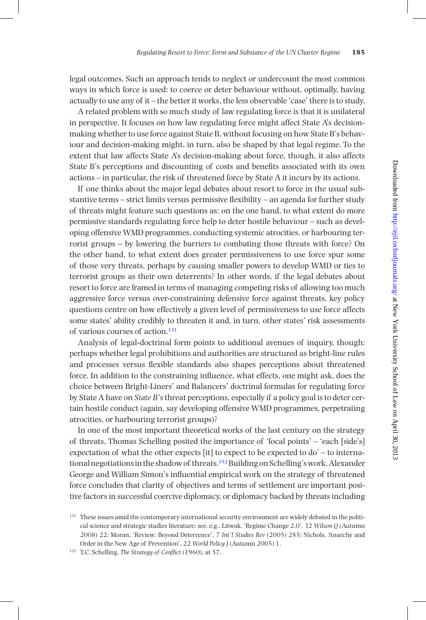legal outcomes. Such an approach tends to neglect or undercount the most common ways in which force is used: to coerce or deter behaviour without, optimally, having actually to use any of it – the better it works, the less observable 'case' there is to study.

A related problem with so much study of law regulating force is that it is unilateral in perspective. It focuses on how law regulating force might affect State A's decisionmaking whether to use force against State B, without focusing on how State B's behaviour and decision-making might, in turn, also be shaped by that legal regime. To the extent that law affects State A's decision-making about force, though, it also affects State B's perceptions and discounting of costs and benefits associated with its own actions – in particular, the risk of threatened force by State A it incurs by its actions.

If one thinks about the major legal debates about resort to force in the usual substantive terms – strict limits versus permissive flexibility – an agenda for further study of threats might feature such questions as: on the one hand, to what extent do more permissive standards regulating force help to deter hostile behaviour – such as developing offensive WMD programmes, conducting systemic atrocities, or harbouring terrorist groups – by lowering the barriers to combating those threats with force? On the other hand, to what extent does greater permissiveness to use force spur some of those very threats, perhaps by causing smaller powers to develop WMD or ties to terrorist groups as their own deterrents? In other words, if the legal debates about resort to force are framed in terms of managing competing risks of allowing too much aggressive force versus over-constraining defensive force against threats, key policy questions centre on how effectively a given level of permissiveness to use force affects some states' ability credibly to threaten it and, in turn, other states' risk assessments of various courses of action[.151](#page-35-0)

Analysis of legal-doctrinal form points to additional avenues of inquiry, though: perhaps whether legal prohibitions and authorities are structured as bright-line rules and processes versus flexible standards also shapes perceptions about threatened force. In addition to the constraining influence, what effects, one might ask, does the choice between Bright-Liners' and Balancers' doctrinal formulas for regulating force by State A have on *State B's* threat perceptions, especially if a policy goal is to deter certain hostile conduct (again, say developing offensive WMD programmes, perpetrating atrocities, or harbouring terrorist groups)?

In one of the most important theoretical works of the last century on the strategy of threats, Thomas Schelling posited the importance of 'focal points' – 'each [side's] expectation of what the other expects [it] to expect to be expected to do' – to international negotiations in the shadow of threats.<sup>152</sup> Building on Schelling's work, Alexander George and William Simon's influential empirical work on the strategy of threatened force concludes that clarity of objectives and terms of settlement are important positive factors in successful coercive diplomacy, or diplomacy backed by threats including

<span id="page-35-0"></span><sup>&</sup>lt;sup>151</sup> These issues amid the contemporary international security environment are widely debated in the political science and strategic studies literature: see, e.g., Litwak, 'Regime Change 2.0', 32 *Wilson Q* (Autumn 2008) 22; Moran, 'Review: Beyond Deterrence', 7 *Int'l Studies Rev* (2005) 285; Nichols, 'Anarchy and Order in the New Age of Prevention', 22 *World Policy J* (Autumn 2005) 1.

<span id="page-35-1"></span><sup>152</sup> T.C. Schelling, *The Strategy of Conflict* (1960), at 57.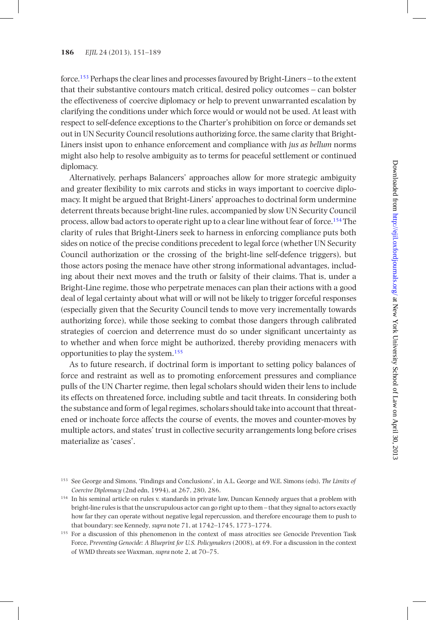force.[153](#page-36-0) Perhaps the clear lines and processes favoured by Bright-Liners – to the extent that their substantive contours match critical, desired policy outcomes – can bolster the effectiveness of coercive diplomacy or help to prevent unwarranted escalation by clarifying the conditions under which force would or would not be used. At least with respect to self-defence exceptions to the Charter's prohibition on force or demands set out in UN Security Council resolutions authorizing force, the same clarity that Bright-Liners insist upon to enhance enforcement and compliance with *jus as bellum* norms might also help to resolve ambiguity as to terms for peaceful settlement or continued diplomacy.

Alternatively, perhaps Balancers' approaches allow for more strategic ambiguity and greater flexibility to mix carrots and sticks in ways important to coercive diplomacy. It might be argued that Bright-Liners' approaches to doctrinal form undermine deterrent threats because bright-line rules, accompanied by slow UN Security Council process, allow bad actors to operate right up to a clear line without fear of force.[154](#page-36-1) The clarity of rules that Bright-Liners seek to harness in enforcing compliance puts both sides on notice of the precise conditions precedent to legal force (whether UN Security Council authorization or the crossing of the bright-line self-defence triggers), but those actors posing the menace have other strong informational advantages, including about their next moves and the truth or falsity of their claims. That is, under a Bright-Line regime, those who perpetrate menaces can plan their actions with a good deal of legal certainty about what will or will not be likely to trigger forceful responses (especially given that the Security Council tends to move very incrementally towards authorizing force), while those seeking to combat those dangers through calibrated strategies of coercion and deterrence must do so under significant uncertainty as to whether and when force might be authorized, thereby providing menacers with opportunities to play the system.[155](#page-36-2)

As to future research, if doctrinal form is important to setting policy balances of force and restraint as well as to promoting enforcement pressures and compliance pulls of the UN Charter regime, then legal scholars should widen their lens to include its effects on threatened force, including subtle and tacit threats. In considering both the substance and form of legal regimes, scholars should take into account that threatened or inchoate force affects the course of events, the moves and counter-moves by multiple actors, and states' trust in collective security arrangements long before crises materialize as 'cases'.

<span id="page-36-0"></span><sup>153</sup> See George and Simons, 'Findings and Conclusions', in A.L. George and W.E. Simons (eds), *The Limits of Coercive Diplomacy* (2nd edn, 1994), at 267, 280, 286.

<span id="page-36-1"></span><sup>154</sup> In his seminal article on rules v. standards in private law, Duncan Kennedy argues that a problem with bright-line rules is that the unscrupulous actor can go right up to them – that they signal to actors exactly how far they can operate without negative legal repercussion, and therefore encourage them to push to that boundary: see Kennedy*, supra* note 71, at 1742–1745, 1773–1774.

<span id="page-36-2"></span><sup>&</sup>lt;sup>155</sup> For a discussion of this phenomenon in the context of mass atrocities see Genocide Prevention Task Force, *Preventing Genocide: A Blueprint for U.S. Policymakers* (2008), at 69. For a discussion in the context of WMD threats see Waxman, *supra* note 2, at 70–75.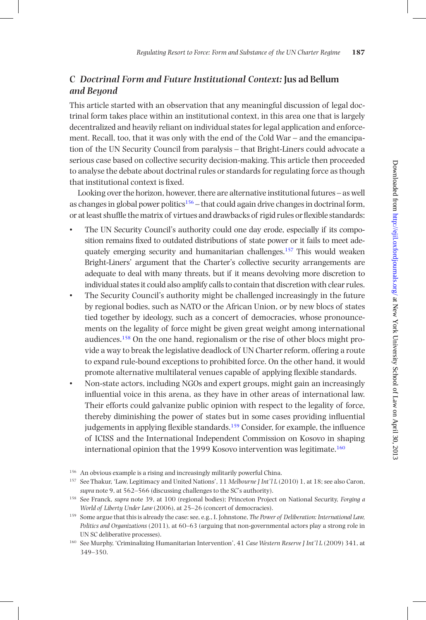## **C** *Doctrinal Form and Future Institutional Context:* **Jus ad Bellum** *and Beyond*

This article started with an observation that any meaningful discussion of legal doctrinal form takes place within an institutional context, in this area one that is largely decentralized and heavily reliant on individual states for legal application and enforcement. Recall, too, that it was only with the end of the Cold War – and the emancipation of the UN Security Council from paralysis – that Bright-Liners could advocate a serious case based on collective security decision-making. This article then proceeded to analyse the debate about doctrinal rules or standards for regulating force as though that institutional context is fixed.

Looking over the horizon, however, there are alternative institutional futures – as well as changes in global power politics<sup>[156](#page-37-0)</sup> – that could again drive changes in doctrinal form, or at least shuffle the matrix of virtues and drawbacks of rigid rules or flexible standards:

- The UN Security Council's authority could one day erode, especially if its composition remains fixed to outdated distributions of state power or it fails to meet adequately emerging security and humanitarian challenges[.157](#page-37-1) This would weaken Bright-Liners' argument that the Charter's collective security arrangements are adequate to deal with many threats, but if it means devolving more discretion to individual states it could also amplify calls to contain that discretion with clear rules.
- The Security Council's authority might be challenged increasingly in the future by regional bodies, such as NATO or the African Union, or by new blocs of states tied together by ideology, such as a concert of democracies, whose pronouncements on the legality of force might be given great weight among international audiences.[158](#page-37-2) On the one hand, regionalism or the rise of other blocs might provide a way to break the legislative deadlock of UN Charter reform, offering a route to expand rule-bound exceptions to prohibited force. On the other hand, it would promote alternative multilateral venues capable of applying flexible standards.
- Non-state actors, including NGOs and expert groups, might gain an increasingly influential voice in this arena, as they have in other areas of international law. Their efforts could galvanize public opinion with respect to the legality of force, thereby diminishing the power of states but in some cases providing influential judgements in applying flexible standards.<sup>159</sup> Consider, for example, the influence of ICISS and the International Independent Commission on Kosovo in shaping international opinion that the 1999 Kosovo intervention was legitimate.<sup>160</sup>

<span id="page-37-0"></span><sup>156</sup> An obvious example is a rising and increasingly militarily powerful China.

<span id="page-37-1"></span><sup>157</sup> See Thakur, 'Law, Legitimacy and United Nations', 11 *Melbourne J Int'l L* (2010) 1, at 18; see also Caron, *supra* note 9, at 562–566 (discussing challenges to the SC's authority).

<span id="page-37-2"></span><sup>158</sup> See Franck, *supra* note 39, at 100 (regional bodies); Princeton Project on National Security, *Forging a World of Liberty Under Law* (2006), at 25–26 (concert of democracies).

<span id="page-37-3"></span><sup>159</sup> Some argue that this is already the case: see, e.g., I. Johnstone, *The Power of Deliberation: International Law, Politics and Organizations* (2011), at 60–63 (arguing that non-governmental actors play a strong role in UN SC deliberative processes).

<span id="page-37-4"></span><sup>160</sup> See Murphy, 'Criminalizing Humanitarian Intervention', 41 *Case Western Reserve J Int'l L* (2009) 341, at 349–350.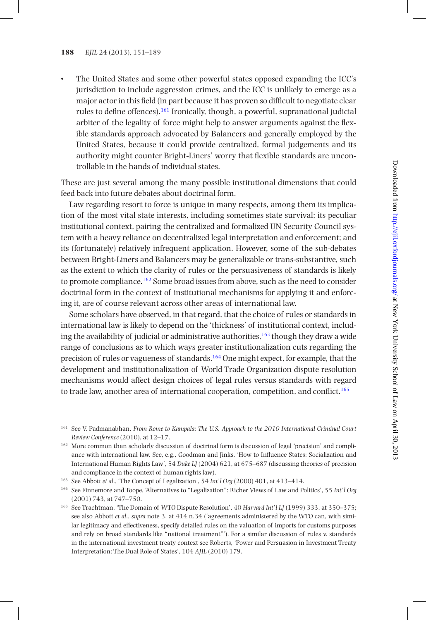The United States and some other powerful states opposed expanding the ICC's jurisdiction to include aggression crimes, and the ICC is unlikely to emerge as a major actor in this field (in part because it has proven so difficult to negotiate clear rules to define offences).[161](#page-38-0) Ironically, though, a powerful, supranational judicial arbiter of the legality of force might help to answer arguments against the flexible standards approach advocated by Balancers and generally employed by the United States, because it could provide centralized, formal judgements and its authority might counter Bright-Liners' worry that flexible standards are uncontrollable in the hands of individual states.

These are just several among the many possible institutional dimensions that could feed back into future debates about doctrinal form.

Law regarding resort to force is unique in many respects, among them its implication of the most vital state interests, including sometimes state survival; its peculiar institutional context, pairing the centralized and formalized UN Security Council system with a heavy reliance on decentralized legal interpretation and enforcement; and its (fortunately) relatively infrequent application. However, some of the sub-debates between Bright-Liners and Balancers may be generalizable or trans-substantive, such as the extent to which the clarity of rules or the persuasiveness of standards is likely to promote compliance.<sup>162</sup> Some broad issues from above, such as the need to consider doctrinal form in the context of institutional mechanisms for applying it and enforcing it, are of course relevant across other areas of international law.

Some scholars have observed, in that regard, that the choice of rules or standards in international law is likely to depend on the 'thickness' of institutional context, including the availability of judicial or administrative authorities, $163$  though they draw a wide range of conclusions as to which ways greater institutionalization cuts regarding the precision of rules or vagueness of standards[.164](#page-38-3) One might expect, for example, that the development and institutionalization of World Trade Organization dispute resolution mechanisms would affect design choices of legal rules versus standards with regard to trade law, another area of international cooperation, competition, and conflict[.165](#page-38-4)

<span id="page-38-0"></span><sup>161</sup> See V. Padmanabhan, *From Rome to Kampala: The U.S. Approach to the 2010 International Criminal Court Review Conference* (2010), at 12–17.

<span id="page-38-1"></span><sup>162</sup> More common than scholarly discussion of doctrinal form is discussion of legal 'precision' and compliance with international law. See, e.g., Goodman and Jinks, 'How to Influence States: Socialization and International Human Rights Law', 54 *Duke LJ* (2004) 621, at 675–687 (discussing theories of precision and compliance in the context of human rights law).

<span id="page-38-2"></span><sup>163</sup> See Abbott *et al*., 'The Concept of Legalization', 54 *Int'l Org* (2000) 401, at 413–414.

<span id="page-38-3"></span><sup>164</sup> See Finnemore and Toope, 'Alternatives to "Legalization": Richer Views of Law and Politics', 55 *Int'l Org* (2001) 743, at 747–750.

<span id="page-38-4"></span><sup>165</sup> See Trachtman, 'The Domain of WTO Dispute Resolution', 40 *Harvard Int'l LJ* (1999) 333, at 350–375; see also Abbott *et al*., *supra* note 3, at 414 n.34 ('agreements administered by the WTO can, with similar legitimacy and effectiveness, specify detailed rules on the valuation of imports for customs purposes and rely on broad standards like "national treatment"'). For a similar discussion of rules v. standards in the international investment treaty context see Roberts, 'Power and Persuasion in Investment Treaty Interpretation: The Dual Role of States', 104 *AJIL* (2010) 179.